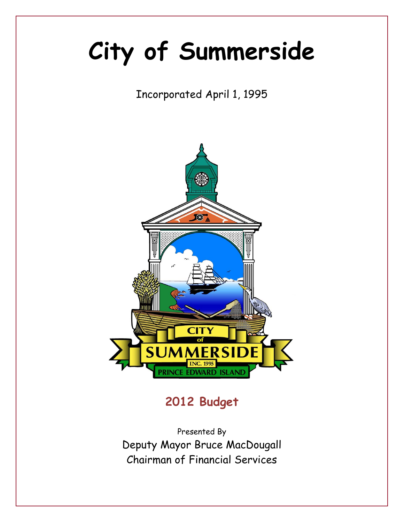

Presented By Deputy Mayor Bruce MacDougall Chairman of Financial Services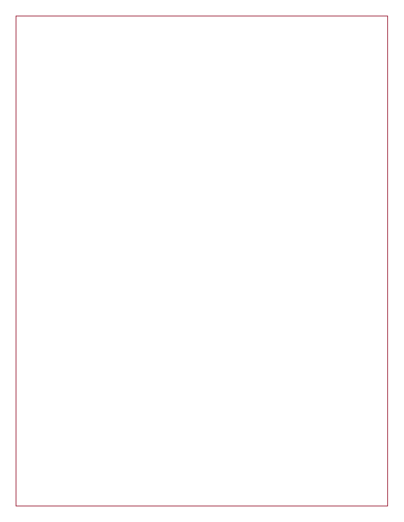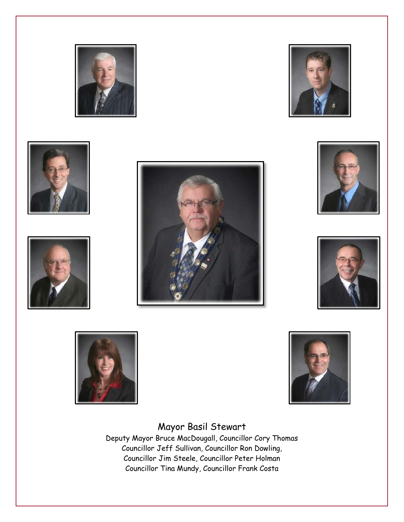

















Mayor Basil Stewart Deputy Mayor Bruce MacDougall, Councillor Cory Thomas Councillor Jeff Sullivan, Councillor Ron Dowling, Councillor Jim Steele, Councillor Peter Holman Councillor Tina Mundy, Councillor Frank Costa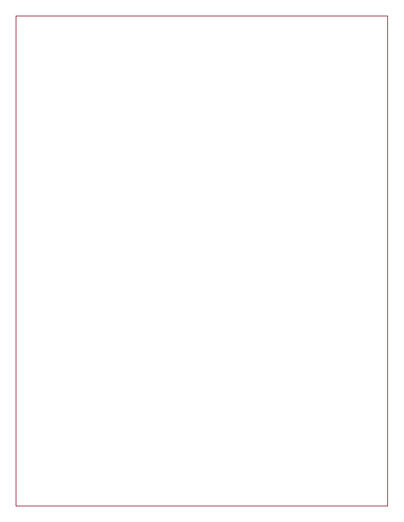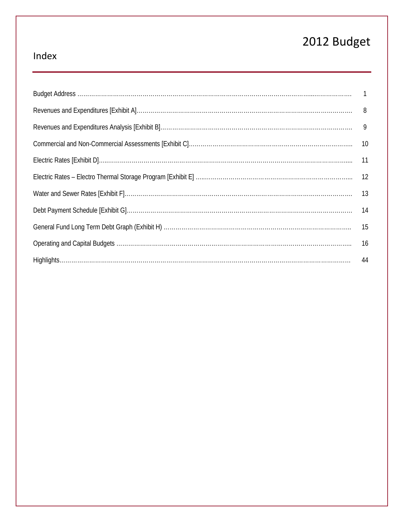# 2012 Budget

## Index

| 16 |
|----|
|    |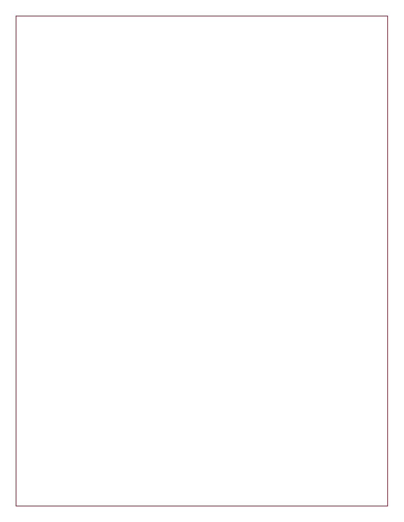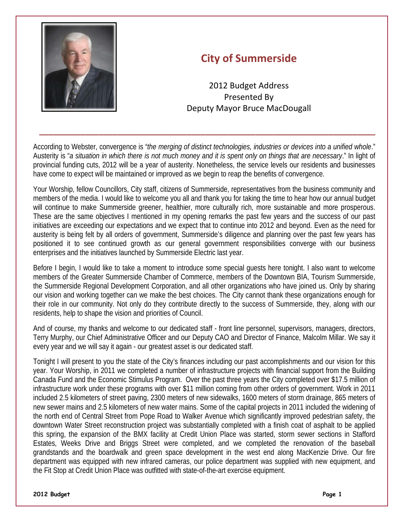

## **City of Summerside**

2012 Budget Address Presented By Deputy Mayor Bruce MacDougall

According to Webster, convergence is "*the merging of distinct technologies, industries or devices into a unified whole*." Austerity is "*a situation in which there is not much money and it is spent only on things that are necessary*." In light of provincial funding cuts, 2012 will be a year of austerity. Nonetheless, the service levels our residents and businesses have come to expect will be maintained or improved as we begin to reap the benefits of convergence.

**\_\_\_\_\_\_\_\_\_\_\_\_\_\_\_\_\_\_\_\_\_\_\_\_\_\_\_\_\_\_\_\_\_\_\_\_\_\_\_\_\_\_\_\_\_\_\_\_\_\_\_\_\_\_\_\_\_\_\_\_\_\_\_\_\_\_\_\_\_\_\_\_\_**

Your Worship, fellow Councillors, City staff, citizens of Summerside, representatives from the business community and members of the media. I would like to welcome you all and thank you for taking the time to hear how our annual budget will continue to make Summerside greener, healthier, more culturally rich, more sustainable and more prosperous. These are the same objectives I mentioned in my opening remarks the past few years and the success of our past initiatives are exceeding our expectations and we expect that to continue into 2012 and beyond. Even as the need for austerity is being felt by all orders of government, Summerside's diligence and planning over the past few years has positioned it to see continued growth as our general government responsibilities converge with our business enterprises and the initiatives launched by Summerside Electric last year.

Before I begin, I would like to take a moment to introduce some special guests here tonight. I also want to welcome members of the Greater Summerside Chamber of Commerce, members of the Downtown BIA, Tourism Summerside, the Summerside Regional Development Corporation, and all other organizations who have joined us. Only by sharing our vision and working together can we make the best choices. The City cannot thank these organizations enough for their role in our community. Not only do they contribute directly to the success of Summerside, they, along with our residents, help to shape the vision and priorities of Council.

And of course, my thanks and welcome to our dedicated staff - front line personnel, supervisors, managers, directors, Terry Murphy, our Chief Administrative Officer and our Deputy CAO and Director of Finance, Malcolm Millar. We say it every year and we will say it again - our greatest asset is our dedicated staff.

Tonight I will present to you the state of the City's finances including our past accomplishments and our vision for this year. Your Worship, in 2011 we completed a number of infrastructure projects with financial support from the Building Canada Fund and the Economic Stimulus Program. Over the past three years the City completed over \$17.5 million of infrastructure work under these programs with over \$11 million coming from other orders of government. Work in 2011 included 2.5 kilometers of street paving, 2300 meters of new sidewalks, 1600 meters of storm drainage, 865 meters of new sewer mains and 2.5 kilometers of new water mains. Some of the capital projects in 2011 included the widening of the north end of Central Street from Pope Road to Walker Avenue which significantly improved pedestrian safety, the downtown Water Street reconstruction project was substantially completed with a finish coat of asphalt to be applied this spring, the expansion of the BMX facility at Credit Union Place was started, storm sewer sections in Stafford Estates, Weeks Drive and Briggs Street were completed, and we completed the renovation of the baseball grandstands and the boardwalk and green space development in the west end along MacKenzie Drive. Our fire department was equipped with new infrared cameras, our police department was supplied with new equipment, and the Fit Stop at Credit Union Place was outfitted with state-of-the-art exercise equipment.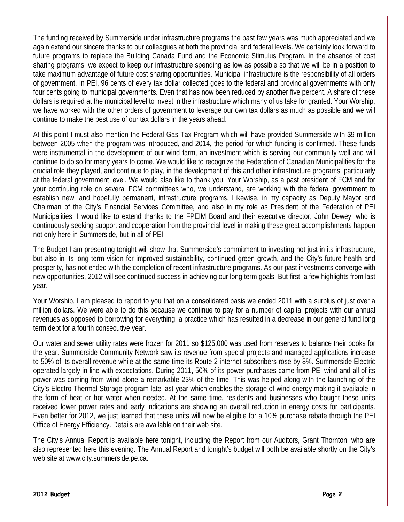The funding received by Summerside under infrastructure programs the past few years was much appreciated and we again extend our sincere thanks to our colleagues at both the provincial and federal levels. We certainly look forward to future programs to replace the Building Canada Fund and the Economic Stimulus Program. In the absence of cost sharing programs, we expect to keep our infrastructure spending as low as possible so that we will be in a position to take maximum advantage of future cost sharing opportunities. Municipal infrastructure is the responsibility of all orders of government. In PEI, 96 cents of every tax dollar collected goes to the federal and provincial governments with only four cents going to municipal governments. Even that has now been reduced by another five percent. A share of these dollars is required at the municipal level to invest in the infrastructure which many of us take for granted. Your Worship, we have worked with the other orders of government to leverage our own tax dollars as much as possible and we will continue to make the best use of our tax dollars in the years ahead.

At this point I must also mention the Federal Gas Tax Program which will have provided Summerside with \$9 million between 2005 when the program was introduced, and 2014, the period for which funding is confirmed. These funds were instrumental in the development of our wind farm, an investment which is serving our community well and will continue to do so for many years to come. We would like to recognize the Federation of Canadian Municipalities for the crucial role they played, and continue to play, in the development of this and other infrastructure programs, particularly at the federal government level. We would also like to thank you, Your Worship, as a past president of FCM and for your continuing role on several FCM committees who, we understand, are working with the federal government to establish new, and hopefully permanent, infrastructure programs. Likewise, in my capacity as Deputy Mayor and Chairman of the City's Financial Services Committee, and also in my role as President of the Federation of PEI Municipalities, I would like to extend thanks to the FPEIM Board and their executive director, John Dewey, who is continuously seeking support and cooperation from the provincial level in making these great accomplishments happen not only here in Summerside, but in all of PEI.

The Budget I am presenting tonight will show that Summerside's commitment to investing not just in its infrastructure, but also in its long term vision for improved sustainability, continued green growth, and the City's future health and prosperity, has not ended with the completion of recent infrastructure programs. As our past investments converge with new opportunities, 2012 will see continued success in achieving our long term goals. But first, a few highlights from last year.

Your Worship, I am pleased to report to you that on a consolidated basis we ended 2011 with a surplus of just over a million dollars. We were able to do this because we continue to pay for a number of capital projects with our annual revenues as opposed to borrowing for everything, a practice which has resulted in a decrease in our general fund long term debt for a fourth consecutive year.

Our water and sewer utility rates were frozen for 2011 so \$125,000 was used from reserves to balance their books for the year. Summerside Community Network saw its revenue from special projects and managed applications increase to 50% of its overall revenue while at the same time its Route 2 internet subscribers rose by 8%. Summerside Electric operated largely in line with expectations. During 2011, 50% of its power purchases came from PEI wind and all of its power was coming from wind alone a remarkable 23% of the time. This was helped along with the launching of the City's Electro Thermal Storage program late last year which enables the storage of wind energy making it available in the form of heat or hot water when needed. At the same time, residents and businesses who bought these units received lower power rates and early indications are showing an overall reduction in energy costs for participants. Even better for 2012, we just learned that these units will now be eligible for a 10% purchase rebate through the PEI Office of Energy Efficiency. Details are available on their web site.

The City's Annual Report is available here tonight, including the Report from our Auditors, Grant Thornton, who are also represented here this evening. The Annual Report and tonight's budget will both be available shortly on the City's web site at [www.city.summerside.pe.ca.](http://www.city.summerside.pe.ca/)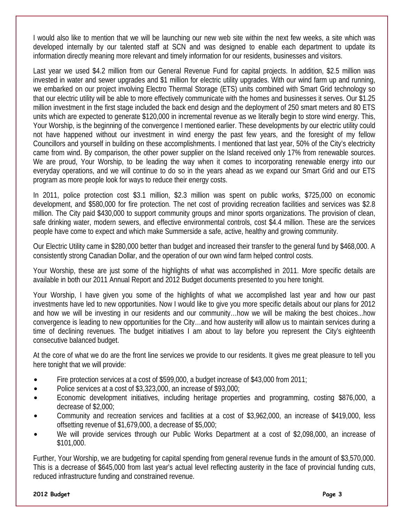I would also like to mention that we will be launching our new web site within the next few weeks, a site which was developed internally by our talented staff at SCN and was designed to enable each department to update its information directly meaning more relevant and timely information for our residents, businesses and visitors.

Last year we used \$4.2 million from our General Revenue Fund for capital projects. In addition, \$2.5 million was invested in water and sewer upgrades and \$1 million for electric utility upgrades. With our wind farm up and running, we embarked on our project involving Electro Thermal Storage (ETS) units combined with Smart Grid technology so that our electric utility will be able to more effectively communicate with the homes and businesses it serves. Our \$1.25 million investment in the first stage included the back end design and the deployment of 250 smart meters and 80 ETS units which are expected to generate \$120,000 in incremental revenue as we literally begin to store wind energy. This, Your Worship, is the beginning of the convergence I mentioned earlier. These developments by our electric utility could not have happened without our investment in wind energy the past few years, and the foresight of my fellow Councillors and yourself in building on these accomplishments. I mentioned that last year, 50% of the City's electricity came from wind. By comparison, the other power supplier on the Island received only 17% from renewable sources. We are proud, Your Worship, to be leading the way when it comes to incorporating renewable energy into our everyday operations, and we will continue to do so in the years ahead as we expand our Smart Grid and our ETS program as more people look for ways to reduce their energy costs.

In 2011, police protection cost \$3.1 million, \$2.3 million was spent on public works, \$725,000 on economic development, and \$580,000 for fire protection. The net cost of providing recreation facilities and services was \$2.8 million. The City paid \$430,000 to support community groups and minor sports organizations. The provision of clean, safe drinking water, modern sewers, and effective environmental controls, cost \$4.4 million. These are the services people have come to expect and which make Summerside a safe, active, healthy and growing community.

Our Electric Utility came in \$280,000 better than budget and increased their transfer to the general fund by \$468,000. A consistently strong Canadian Dollar, and the operation of our own wind farm helped control costs.

Your Worship, these are just some of the highlights of what was accomplished in 2011. More specific details are available in both our 2011 Annual Report and 2012 Budget documents presented to you here tonight.

Your Worship, I have given you some of the highlights of what we accomplished last year and how our past investments have led to new opportunities. Now I would like to give you more specific details about our plans for 2012 and how we will be investing in our residents and our community…how we will be making the best choices...how convergence is leading to new opportunities for the City…and how austerity will allow us to maintain services during a time of declining revenues. The budget initiatives I am about to lay before you represent the City's eighteenth consecutive balanced budget.

At the core of what we do are the front line services we provide to our residents. It gives me great pleasure to tell you here tonight that we will provide:

- Fire protection services at a cost of \$599,000, a budget increase of \$43,000 from 2011;
- Police services at a cost of  $$3,323,000$ , an increase of  $$93,000$ ;
- Economic development initiatives, including heritage properties and programming, costing \$876,000, a decrease of \$2,000;
- Community and recreation services and facilities at a cost of \$3,962,000, an increase of \$419,000, less offsetting revenue of \$1,679,000, a decrease of \$5,000;
- We will provide services through our Public Works Department at a cost of \$2,098,000, an increase of \$101,000.

Further, Your Worship, we are budgeting for capital spending from general revenue funds in the amount of \$3,570,000. This is a decrease of \$645,000 from last year's actual level reflecting austerity in the face of provincial funding cuts, reduced infrastructure funding and constrained revenue.

#### **2012 Budget Page 3**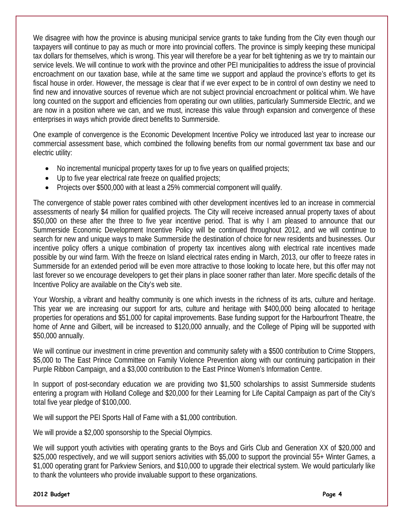We disagree with how the province is abusing municipal service grants to take funding from the City even though our taxpayers will continue to pay as much or more into provincial coffers. The province is simply keeping these municipal tax dollars for themselves, which is wrong. This year will therefore be a year for belt tightening as we try to maintain our service levels. We will continue to work with the province and other PEI municipalities to address the issue of provincial encroachment on our taxation base, while at the same time we support and applaud the province's efforts to get its fiscal house in order. However, the message is clear that if we ever expect to be in control of own destiny we need to find new and innovative sources of revenue which are not subject provincial encroachment or political whim. We have long counted on the support and efficiencies from operating our own utilities, particularly Summerside Electric, and we are now in a position where we can, and we must, increase this value through expansion and convergence of these enterprises in ways which provide direct benefits to Summerside.

One example of convergence is the Economic Development Incentive Policy we introduced last year to increase our commercial assessment base, which combined the following benefits from our normal government tax base and our electric utility:

- No incremental municipal property taxes for up to five years on qualified projects;
- Up to five year electrical rate freeze on qualified projects;
- Projects over \$500,000 with at least a 25% commercial component will qualify.

The convergence of stable power rates combined with other development incentives led to an increase in commercial assessments of nearly \$4 million for qualified projects. The City will receive increased annual property taxes of about \$50,000 on these after the three to five year incentive period. That is why I am pleased to announce that our Summerside Economic Development Incentive Policy will be continued throughout 2012, and we will continue to search for new and unique ways to make Summerside the destination of choice for new residents and businesses. Our incentive policy offers a unique combination of property tax incentives along with electrical rate incentives made possible by our wind farm. With the freeze on Island electrical rates ending in March, 2013, our offer to freeze rates in Summerside for an extended period will be even more attractive to those looking to locate here, but this offer may not last forever so we encourage developers to get their plans in place sooner rather than later. More specific details of the Incentive Policy are available on the City's web site.

Your Worship, a vibrant and healthy community is one which invests in the richness of its arts, culture and heritage. This year we are increasing our support for arts, culture and heritage with \$400,000 being allocated to heritage properties for operations and \$51,000 for capital improvements. Base funding support for the Harbourfront Theatre, the home of Anne and Gilbert, will be increased to \$120,000 annually, and the College of Piping will be supported with \$50,000 annually.

We will continue our investment in crime prevention and community safety with a \$500 contribution to Crime Stoppers, \$5,000 to The East Prince Committee on Family Violence Prevention along with our continuing participation in their Purple Ribbon Campaign, and a \$3,000 contribution to the East Prince Women's Information Centre.

In support of post-secondary education we are providing two \$1,500 scholarships to assist Summerside students entering a program with Holland College and \$20,000 for their Learning for Life Capital Campaign as part of the City's total five year pledge of \$100,000.

We will support the PEI Sports Hall of Fame with a \$1,000 contribution.

We will provide a \$2,000 sponsorship to the Special Olympics.

We will support youth activities with operating grants to the Boys and Girls Club and Generation XX of \$20,000 and \$25,000 respectively, and we will support seniors activities with \$5,000 to support the provincial 55+ Winter Games, a \$1,000 operating grant for Parkview Seniors, and \$10,000 to upgrade their electrical system. We would particularly like to thank the volunteers who provide invaluable support to these organizations.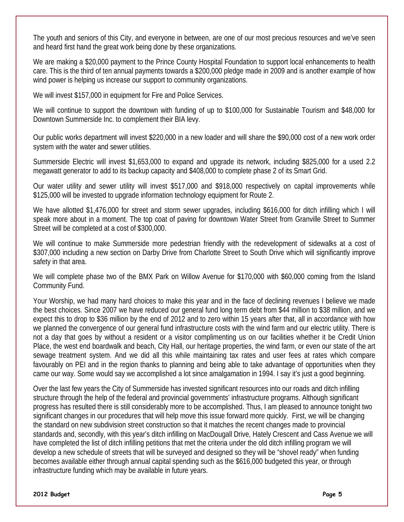The youth and seniors of this City, and everyone in between, are one of our most precious resources and we've seen and heard first hand the great work being done by these organizations.

We are making a \$20,000 payment to the Prince County Hospital Foundation to support local enhancements to health care. This is the third of ten annual payments towards a \$200,000 pledge made in 2009 and is another example of how wind power is helping us increase our support to community organizations.

We will invest \$157,000 in equipment for Fire and Police Services.

We will continue to support the downtown with funding of up to \$100,000 for Sustainable Tourism and \$48,000 for Downtown Summerside Inc. to complement their BIA levy.

Our public works department will invest \$220,000 in a new loader and will share the \$90,000 cost of a new work order system with the water and sewer utilities.

Summerside Electric will invest \$1,653,000 to expand and upgrade its network, including \$825,000 for a used 2.2 megawatt generator to add to its backup capacity and \$408,000 to complete phase 2 of its Smart Grid.

Our water utility and sewer utility will invest \$517,000 and \$918,000 respectively on capital improvements while \$125,000 will be invested to upgrade information technology equipment for Route 2.

We have allotted \$1,476,000 for street and storm sewer upgrades, including \$616,000 for ditch infilling which I will speak more about in a moment. The top coat of paving for downtown Water Street from Granville Street to Summer Street will be completed at a cost of \$300,000.

We will continue to make Summerside more pedestrian friendly with the redevelopment of sidewalks at a cost of \$307,000 including a new section on Darby Drive from Charlotte Street to South Drive which will significantly improve safety in that area.

We will complete phase two of the BMX Park on Willow Avenue for \$170,000 with \$60,000 coming from the Island Community Fund.

Your Worship, we had many hard choices to make this year and in the face of declining revenues I believe we made the best choices. Since 2007 we have reduced our general fund long term debt from \$44 million to \$38 million, and we expect this to drop to \$36 million by the end of 2012 and to zero within 15 years after that, all in accordance with how we planned the convergence of our general fund infrastructure costs with the wind farm and our electric utility. There is not a day that goes by without a resident or a visitor complimenting us on our facilities whether it be Credit Union Place, the west end boardwalk and beach, City Hall, our heritage properties, the wind farm, or even our state of the art sewage treatment system. And we did all this while maintaining tax rates and user fees at rates which compare favourably on PEI and in the region thanks to planning and being able to take advantage of opportunities when they came our way. Some would say we accomplished a lot since amalgamation in 1994. I say it's just a good beginning.

Over the last few years the City of Summerside has invested significant resources into our roads and ditch infilling structure through the help of the federal and provincial governments' infrastructure programs. Although significant progress has resulted there is still considerably more to be accomplished. Thus, I am pleased to announce tonight two significant changes in our procedures that will help move this issue forward more quickly. First, we will be changing the standard on new subdivision street construction so that it matches the recent changes made to provincial standards and, secondly, with this year's ditch infilling on MacDougall Drive, Hately Crescent and Cass Avenue we will have completed the list of ditch infilling petitions that met the criteria under the old ditch infilling program we will develop a new schedule of streets that will be surveyed and designed so they will be "shovel ready" when funding becomes available either through annual capital spending such as the \$616,000 budgeted this year, or through infrastructure funding which may be available in future years.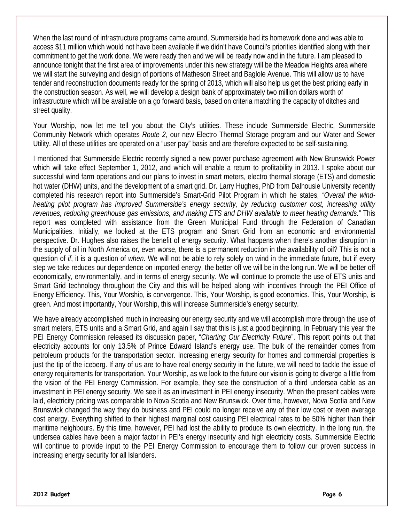When the last round of infrastructure programs came around, Summerside had its homework done and was able to access \$11 million which would not have been available if we didn't have Council's priorities identified along with their commitment to get the work done. We were ready then and we will be ready now and in the future. I am pleased to announce tonight that the first area of improvements under this new strategy will be the Meadow Heights area where we will start the surveying and design of portions of Matheson Street and Baglole Avenue. This will allow us to have tender and reconstruction documents ready for the spring of 2013, which will also help us get the best pricing early in the construction season. As well, we will develop a design bank of approximately two million dollars worth of infrastructure which will be available on a go forward basis, based on criteria matching the capacity of ditches and street quality.

Your Worship, now let me tell you about the City's utilities. These include Summerside Electric, Summerside Community Network which operates *Route 2,* our new Electro Thermal Storage program and our Water and Sewer Utility. All of these utilities are operated on a "user pay" basis and are therefore expected to be self-sustaining.

I mentioned that Summerside Electric recently signed a new power purchase agreement with New Brunswick Power which will take effect September 1, 2012, and which will enable a return to profitability in 2013. I spoke about our successful wind farm operations and our plans to invest in smart meters, electro thermal storage (ETS) and domestic hot water (DHW) units, and the development of a smart grid. Dr. Larry Hughes, PhD from Dalhousie University recently completed his research report into Summerside's Smart-Grid Pilot Program in which he states, *"Overall the windheating pilot program has improved Summerside's energy security, by reducing customer cost, increasing utility revenues, reducing greenhouse gas emissions, and making ETS and DHW available to meet heating demands."* This report was completed with assistance from the Green Municipal Fund through the Federation of Canadian Municipalities. Initially, we looked at the ETS program and Smart Grid from an economic and environmental perspective. Dr. Hughes also raises the benefit of energy security. What happens when there's another disruption in the supply of oil in North America or, even worse, there is a permanent reduction in the availability of oil? This is not a question of *if*, it is a question of *when*. We will not be able to rely solely on wind in the immediate future, but if every step we take reduces our dependence on imported energy, the better off we will be in the long run. We will be better off economically, environmentally, and in terms of energy security. We will continue to promote the use of ETS units and Smart Grid technology throughout the City and this will be helped along with incentives through the PEI Office of Energy Efficiency. This, Your Worship, is convergence. This, Your Worship, is good economics. This, Your Worship, is green. And most importantly, Your Worship, this will increase Summerside's energy security.

We have already accomplished much in increasing our energy security and we will accomplish more through the use of smart meters, ETS units and a Smart Grid, and again I say that this is just a good beginning. In February this year the PEI Energy Commission released its discussion paper, "*Charting Our Electricity Future*". This report points out that electricity accounts for only 13.5% of Prince Edward Island's energy use. The bulk of the remainder comes from petroleum products for the transportation sector. Increasing energy security for homes and commercial properties is just the tip of the iceberg. If any of us are to have real energy security in the future, we will need to tackle the issue of energy requirements for transportation. Your Worship, as we look to the future our vision is going to diverge a little from the vision of the PEI Energy Commission. For example, they see the construction of a third undersea cable as an investment in PEI energy security. We see it as an investment in PEI energy insecurity. When the present cables were laid, electricity pricing was comparable to Nova Scotia and New Brunswick. Over time, however, Nova Scotia and New Brunswick changed the way they do business and PEI could no longer receive any of their low cost or even average cost energy. Everything shifted to their highest marginal cost causing PEI electrical rates to be 50% higher than their maritime neighbours. By this time, however, PEI had lost the ability to produce its own electricity. In the long run, the undersea cables have been a major factor in PEI's energy insecurity and high electricity costs. Summerside Electric will continue to provide input to the PEI Energy Commission to encourage them to follow our proven success in increasing energy security for all Islanders.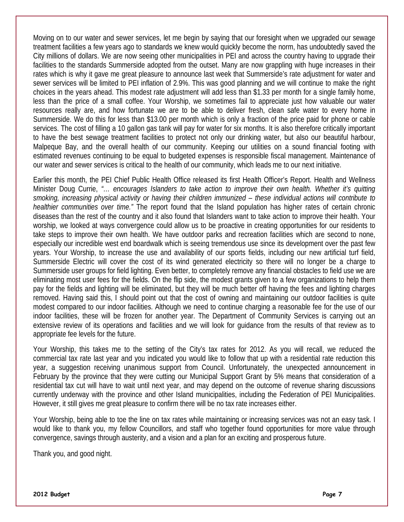Moving on to our water and sewer services, let me begin by saying that our foresight when we upgraded our sewage treatment facilities a few years ago to standards we knew would quickly become the norm, has undoubtedly saved the City millions of dollars. We are now seeing other municipalities in PEI and across the country having to upgrade their facilities to the standards Summerside adopted from the outset. Many are now grappling with huge increases in their rates which is why it gave me great pleasure to announce last week that Summerside's rate adjustment for water and sewer services will be limited to PEI inflation of 2.9%. This was good planning and we will continue to make the right choices in the years ahead. This modest rate adjustment will add less than \$1.33 per month for a single family home, less than the price of a small coffee. Your Worship, we sometimes fail to appreciate just how valuable our water resources really are, and how fortunate we are to be able to deliver fresh, clean safe water to every home in Summerside. We do this for less than \$13.00 per month which is only a fraction of the price paid for phone or cable services. The cost of filling a 10 gallon gas tank will pay for water for six months. It is also therefore critically important to have the best sewage treatment facilities to protect not only our drinking water, but also our beautiful harbour, Malpeque Bay, and the overall health of our community. Keeping our utilities on a sound financial footing with estimated revenues continuing to be equal to budgeted expenses is responsible fiscal management. Maintenance of our water and sewer services is critical to the health of our community, which leads me to our next initiative.

Earlier this month, the PEI Chief Public Health Office released its first Health Officer's Report. Health and Wellness Minister Doug Currie, *"… encourages Islanders to take action to improve their own health. Whether it's quitting smoking, increasing physical activity or having their children immunized – these individual actions will contribute to healthier communities over time."* The report found that the Island population has higher rates of certain chronic diseases than the rest of the country and it also found that Islanders want to take action to improve their health. Your worship, we looked at ways convergence could allow us to be proactive in creating opportunities for our residents to take steps to improve their own health. We have outdoor parks and recreation facilities which are second to none, especially our incredible west end boardwalk which is seeing tremendous use since its development over the past few years. Your Worship, to increase the use and availability of our sports fields, including our new artificial turf field, Summerside Electric will cover the cost of its wind generated electricity so there will no longer be a charge to Summerside user groups for field lighting. Even better, to completely remove any financial obstacles to field use we are eliminating most user fees for the fields. On the flip side, the modest grants given to a few organizations to help them pay for the fields and lighting will be eliminated, but they will be much better off having the fees and lighting charges removed. Having said this, I should point out that the cost of owning and maintaining our outdoor facilities is quite modest compared to our indoor facilities. Although we need to continue charging a reasonable fee for the use of our indoor facilities, these will be frozen for another year. The Department of Community Services is carrying out an extensive review of its operations and facilities and we will look for guidance from the results of that review as to appropriate fee levels for the future.

Your Worship, this takes me to the setting of the City's tax rates for 2012. As you will recall, we reduced the commercial tax rate last year and you indicated you would like to follow that up with a residential rate reduction this year, a suggestion receiving unanimous support from Council. Unfortunately, the unexpected announcement in February by the province that they were cutting our Municipal Support Grant by 5% means that consideration of a residential tax cut will have to wait until next year, and may depend on the outcome of revenue sharing discussions currently underway with the province and other Island municipalities, including the Federation of PEI Municipalities. However, it still gives me great pleasure to confirm there will be no tax rate increases either.

Your Worship, being able to toe the line on tax rates while maintaining or increasing services was not an easy task. I would like to thank you, my fellow Councillors, and staff who together found opportunities for more value through convergence, savings through austerity, and a vision and a plan for an exciting and prosperous future.

Thank you, and good night.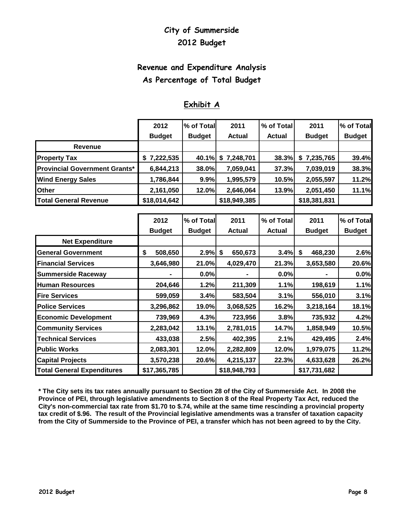### **Revenue and Expenditure Analysis As Percentage of Total Budget**

### **Exhibit A**

|                                      | 2012          | % of Total    | 2011          | % of Total    | 2011                         | % of Total    |
|--------------------------------------|---------------|---------------|---------------|---------------|------------------------------|---------------|
|                                      | <b>Budget</b> | <b>Budget</b> | <b>Actual</b> | <b>Actual</b> | <b>Budget</b>                | <b>Budget</b> |
| <b>Revenue</b>                       |               |               |               |               |                              |               |
| <b>Property Tax</b>                  | \$7,222,535   | 40.1%         | \$7,248,701   | 38.3%         | \$7,235,765                  | 39.4%         |
| <b>Provincial Government Grants*</b> | 6,844,213     | 38.0%         | 7,059,041     | 37.3%         | 7,039,019                    | 38.3%         |
| <b>Wind Energy Sales</b>             | 1,786,844     | 9.9%          | 1,995,579     | 10.5%         | 2,055,597                    | 11.2%         |
| <b>Other</b>                         | 2,161,050     | 12.0%         | 2,646,064     | 13.9%         | 2,051,450                    | 11.1%         |
| <b>Total General Revenue</b>         | \$18,014,642  |               | \$18,949,385  |               | \$18,381,831                 |               |
|                                      |               |               |               |               |                              |               |
|                                      | 2012          | % of Total    | 2011          | % of Total    | 2011                         | % of Total    |
|                                      | <b>Budget</b> | <b>Budget</b> | <b>Actual</b> | <b>Actual</b> | <b>Budget</b>                | <b>Budget</b> |
| <b>Net Expenditure</b>               |               |               |               |               |                              |               |
| <b>General Government</b>            | \$<br>508,650 | 2.9%          | \$<br>650,673 | 3.4%          | $\boldsymbol{\$}$<br>468,230 | 2.6%          |
| <b>Financial Services</b>            | 3,646,980     | 21.0%         | 4,029,470     | 21.3%         | 3,653,580                    | 20.6%         |
| <b>Summerside Raceway</b>            |               | 0.0%          |               | 0.0%          |                              | 0.0%          |
| <b>Human Resources</b>               | 204,646       | 1.2%          | 211,309       | 1.1%          | 198,619                      | 1.1%          |
| <b>Fire Services</b>                 | 599,059       | 3.4%          | 583,504       | 3.1%          | 556,010                      | 3.1%          |
| <b>Police Services</b>               | 3,296,862     | 19.0%         | 3,068,525     | 16.2%         | 3,218,164                    | 18.1%         |
| <b>Economic Development</b>          | 739,969       | 4.3%          | 723,956       | 3.8%          | 735,932                      | 4.2%          |
| <b>Community Services</b>            | 2,283,042     | 13.1%         | 2,781,015     | 14.7%         | 1,858,949                    | 10.5%         |
| <b>Technical Services</b>            | 433,038       | 2.5%          | 402,395       | 2.1%          | 429,495                      | 2.4%          |
| <b>Public Works</b>                  | 2,083,301     | 12.0%         | 2,282,809     | 12.0%         | 1,979,075                    | 11.2%         |
| <b>Capital Projects</b>              | 3,570,238     | 20.6%         | 4,215,137     | 22.3%         | 4,633,628                    | 26.2%         |
| <b>Total General Expenditures</b>    | \$17,365,785  |               | \$18,948,793  |               | \$17,731,682                 |               |

**\* The City sets its tax rates annually pursuant to Section 28 of the City of Summerside Act. In 2008 the Province of PEI, through legislative amendments to Section 8 of the Real Property Tax Act, reduced the City's non-commercial tax rate from \$1.70 to \$.74, while at the same time rescinding a provincial property tax credit of \$.96. The result of the Provincial legislative amendments was a transfer of taxation capacity from the City of Summerside to the Province of PEI, a transfer which has not been agreed to by the City.**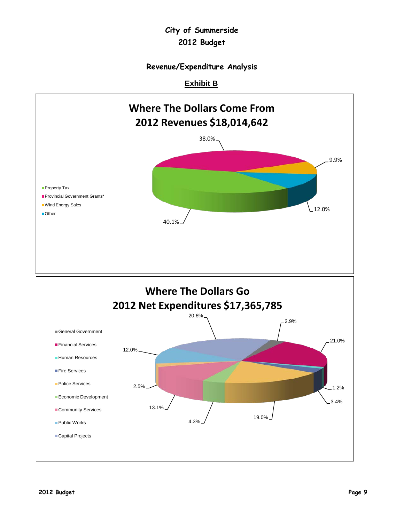### **Revenue/Expenditure Analysis**



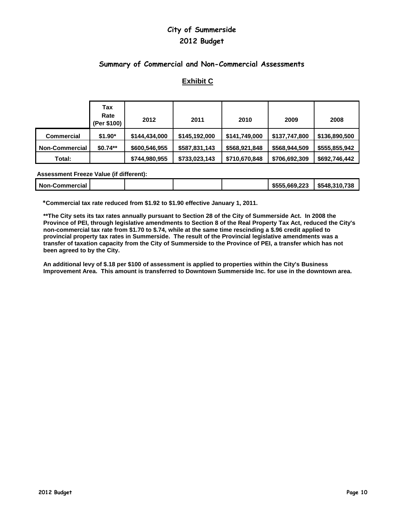### **Summary of Commercial and Non-Commercial Assessments**

### **Exhibit C**

|                   | Tax<br>Rate<br>(Per \$100) | 2012          | 2011          | 2010          | 2009          | 2008          |
|-------------------|----------------------------|---------------|---------------|---------------|---------------|---------------|
| <b>Commercial</b> | $$1.90*$                   | \$144,434,000 | \$145,192,000 | \$141,749,000 | \$137,747,800 | \$136,890,500 |
| Non-Commercial    | $$0.74**$                  | \$600,546,955 | \$587,831,143 | \$568,921,848 | \$568,944,509 | \$555,855,942 |
| Total:            |                            | \$744,980,955 | \$733,023,143 | \$710,670,848 | \$706,692,309 | \$692,746,442 |

#### **Assessment Freeze Value (if different):**

|  | <b>Non-Commercial</b> |  |  |  |  | \$555,669,223 | \$548,310,738 |
|--|-----------------------|--|--|--|--|---------------|---------------|
|--|-----------------------|--|--|--|--|---------------|---------------|

**\*Commercial tax rate reduced from \$1.92 to \$1.90 effective January 1, 2011.**

**\*\*The City sets its tax rates annually pursuant to Section 28 of the City of Summerside Act. In 2008 the Province of PEI, through legislative amendments to Section 8 of the Real Property Tax Act, reduced the City's non-commercial tax rate from \$1.70 to \$.74, while at the same time rescinding a \$.96 credit applied to provincial property tax rates in Summerside. The result of the Provincial legislative amendments was a transfer of taxation capacity from the City of Summerside to the Province of PEI, a transfer which has not been agreed to by the City.**

**An additional levy of \$.18 per \$100 of assessment is applied to properties within the City's Business Improvement Area. This amount is transferred to Downtown Summerside Inc. for use in the downtown area.**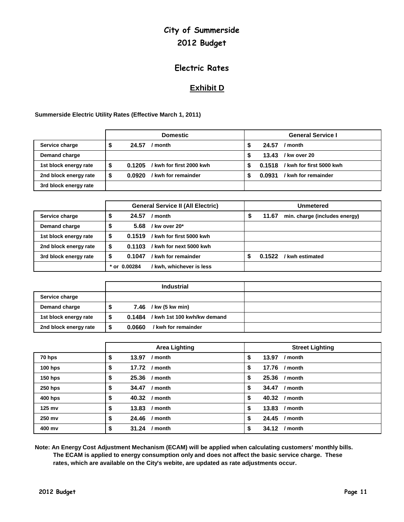### **Electric Rates**

### **Exhibit D**

#### **Summerside Electric Utility Rates (Effective March 1, 2011)**

|                       |    | <b>Domestic</b>                    |   |        | <b>General Service I</b>        |
|-----------------------|----|------------------------------------|---|--------|---------------------------------|
| Service charge        |    | 24.57<br>/ month                   | Ð | 24.57  | / month                         |
| Demand charge         |    |                                    | S | 13.43  | / kw over 20                    |
| 1st block energy rate | S  | / kwh for first 2000 kwh<br>0.1205 |   |        | 0.1518 / kwh for first 5000 kwh |
| 2nd block energy rate | \$ | / kwh for remainder<br>0.0920      |   | 0.0931 | / kwh for remainder             |
| 3rd block energy rate |    |                                    |   |        |                                 |

|                       |                | <b>General Service II (All Electric)</b> |  |       | <b>Unmetered</b>              |
|-----------------------|----------------|------------------------------------------|--|-------|-------------------------------|
| Service charge        | 24.57          | / month                                  |  | 11.67 | min. charge (includes energy) |
| Demand charge         | 5.68           | / kw over $20*$                          |  |       |                               |
| 1st block energy rate | 0.1519         | /kwh for first 5000 kwh                  |  |       |                               |
| 2nd block energy rate | S<br>0.1103    | / kwh for next 5000 kwh                  |  |       |                               |
| 3rd block energy rate | 0.1047         | / kwh for remainder                      |  |       | 0.1522 / kwh estimated        |
|                       | $*$ or 0.00284 | / kwh. whichever is less                 |  |       |                               |

|                       |        | <b>Industrial</b>                  |  |
|-----------------------|--------|------------------------------------|--|
| Service charge        |        |                                    |  |
| Demand charge         |        | $7.46$ / kw (5 kw min)             |  |
| 1st block energy rate |        | 0.1484 / kwh 1st 100 kwh/kw demand |  |
| 2nd block energy rate | 0.0660 | / kwh for remainder                |  |

|                | <b>Area Lighting</b>   | <b>Street Lighting</b> |
|----------------|------------------------|------------------------|
| 70 hps         | / month<br>13.97<br>\$ | \$<br>/ month<br>13.97 |
| <b>100 hps</b> | 17.72 / month<br>\$    | \$<br>17.76 / month    |
| <b>150 hps</b> | \$<br>25.36 / month    | \$<br>25.36 / month    |
| <b>250 hps</b> | 34.47 / month<br>S     | \$<br>34.47 / month    |
| 400 hps        | 40.32 / month<br>S     | \$<br>40.32 / month    |
| $125$ mv       | 13.83 / month<br>S     | \$<br>13.83 / month    |
| 250 mv         | 24.46 / month<br>S     | \$<br>24.45 / month    |
| 400 mv         | 31.24 / month<br>S     | \$<br>34.12 / month    |

**Note: An Energy Cost Adjustment Mechanism (ECAM) will be applied when calculating customers' monthly bills. The ECAM is applied to energy consumption only and does not affect the basic service charge. These rates, which are available on the City's webite, are updated as rate adjustments occur.**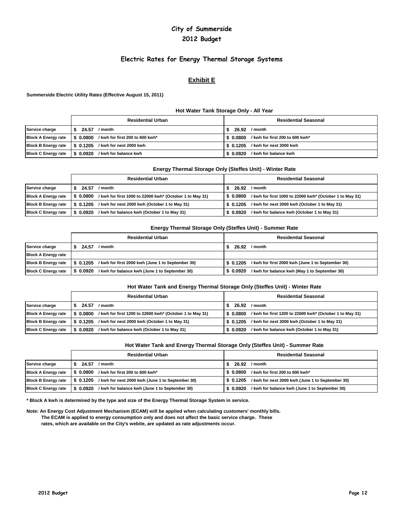#### **Electric Rates for Energy Thermal Storage Systems**

#### **Exhibit E**

#### **Summerside Electric Utility Rates (Effective August 15, 2011)**

#### **Hot Water Tank Storage Only - All Year**

|                            | <b>Residential Urban</b>                 | <b>Residential Seasonal</b>               |
|----------------------------|------------------------------------------|-------------------------------------------|
| Service charge             | 24.57<br>/ month                         | 26.92<br>/ month                          |
| <b>Block A Energy rate</b> | 5 0.0800 / kwh for first 200 to 600 kwh* | \$ 0.0800 / kwh for first 200 to 600 kwh* |
| <b>Block B Energy rate</b> | S 0.1205 / kwh for next 2000 kwh         | \$ 0.1205 / kwh for next 2000 kwh         |
| <b>Block C Energy rate</b> | S 0.0920 / kwh for balance kwh           | \$ 0.0920 /kwh for balance kwh            |

#### **Energy Thermal Storage Only (Steffes Unit) - Winter Rate**

|                            |                  | <b>Residential Urban</b>                                 |           | <b>Residential Seasonal</b>                              |
|----------------------------|------------------|----------------------------------------------------------|-----------|----------------------------------------------------------|
| Service charge             | 24.57<br>/ month |                                                          | 26.92     | / month                                                  |
| <b>Block A Energy rate</b> | \$ 0.0800        | / kwh for first 1000 to 22000 kwh* (October 1 to May 31) | \$ 0.0800 | / kwh for first 1000 to 22000 kwh* (October 1 to May 31) |
| <b>Block B Energy rate</b> | \$ 0.1205        | / kwh for next 2000 kwh (October 1 to May 31)            | \$0.1205  | / kwh for next 2000 kwh (October 1 to May 31)            |
| <b>Block C Energy rate</b> | 0.0920           | / kwh for balance kwh (October 1 to May 31)              | \$0.0920  | / kwh for balance kwh (October 1 to May 31)              |

#### **Energy Thermal Storage Only (Steffes Unit) - Summer Rate**

|                            | <b>Residential Urban</b>                                    | <b>Residential Seasonal</b>                                 |
|----------------------------|-------------------------------------------------------------|-------------------------------------------------------------|
| Service charge             | 24.57<br>/ month                                            | 26.92<br>/ month                                            |
| <b>Block A Energy rate</b> |                                                             |                                                             |
| <b>Block B Energy rate</b> | \$ 0.1205 / kwh for first 2000 kwh (June 1 to September 30) | \$ 0.1205 / kwh for first 2000 kwh (June 1 to September 30) |
| <b>Block C Energy rate</b> | S 0.0920 / kwh for balance kwh (June 1 to September 30)     | \$ 0.0920 / kwh for balance kwh (May 1 to September 30)     |

#### **Hot Water Tank and Energy Thermal Storage Only (Steffes Unit) - Winter Rate**

|                            | <b>Residential Urban</b>                                              | <b>Residential Seasonal</b>                                           |
|----------------------------|-----------------------------------------------------------------------|-----------------------------------------------------------------------|
| Service charge             | 24.57<br>/ month                                                      | 26.92<br>/ month                                                      |
| <b>Block A Energy rate</b> | \$ 0.0800<br>/ kwh for first 1200 to 22600 kwh* (October 1 to May 31) | / kwh for first 1200 to 22600 kwh* (October 1 to May 31)<br>\$ 0.0800 |
| <b>Block B Energy rate</b> | \$ 0.1205<br>/ kwh for next 2000 kwh (October 1 to May 31)            | / kwh for next 2000 kwh (October 1 to May 31)<br>\$ 0.1205            |
| <b>Block C Energy rate</b> | 0.0920<br>/ kwh for balance kwh (October 1 to May 31)                 | / kwh for balance kwh (October 1 to May 31)<br>\$ 0.0920              |

#### **Hot Water Tank and Energy Thermal Storage Only (Steffes Unit) - Summer Rate**

|                            | <b>Residential Urban</b>                                                         | <b>Residential Seasonal</b>                                 |
|----------------------------|----------------------------------------------------------------------------------|-------------------------------------------------------------|
| Service charge             | 24.57<br>/ month                                                                 | 26.92 / month                                               |
| <b>Block A Energy rate</b> | \$ 0.0800 / kwh for first 200 to 600 kwh*                                        | / kwh for first 200 to 600 kwh*<br>\$ 0.0800                |
|                            | Block B Energy rate   \$ 0.1205 / kwh for next 2000 kwh (June 1 to September 30) | \$ 0.1205 / kwh for next 2000 kwh (June 1 to September 30)  |
| <b>Block C Energy rate</b> | S 0.0920 / kwh for balance kwh (June 1 to September 30)                          | / kwh for balance kwh (June 1 to September 30)<br>\$ 0.0920 |

**\* Block A kwh is determined by the type and size of the Energy Thermal Storage System in service.** 

**Note: An Energy Cost Adjustment Mechanism (ECAM) will be applied when calculating customers' monthly bills. The ECAM is applied to energy consumption only and does not affect the basic service charge. These rates, which are available on the City's webite, are updated as rate adjustments occur.**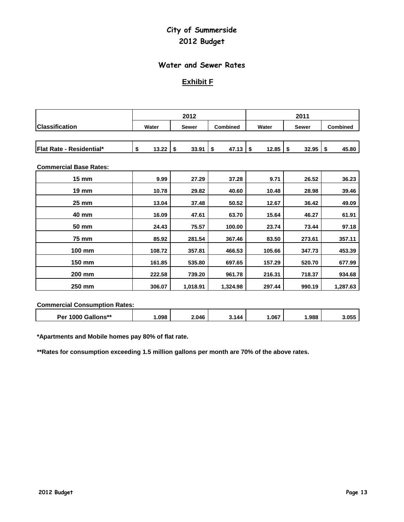### **Water and Sewer Rates**

### **Exhibit F**

|                                 |             | 2012         |                 |             | 2011         |                 |  |
|---------------------------------|-------------|--------------|-----------------|-------------|--------------|-----------------|--|
| <b>Classification</b>           | Water       | <b>Sewer</b> | <b>Combined</b> | Water       | <b>Sewer</b> | <b>Combined</b> |  |
|                                 |             |              |                 |             |              |                 |  |
| <b>Flat Rate - Residential*</b> | \$<br>13.22 | \$<br>33.91  | \$<br>47.13     | \$<br>12.85 | \$<br>32.95  | 45.80<br>\$     |  |
| <b>Commercial Base Rates:</b>   |             |              |                 |             |              |                 |  |
| $15 \text{ mm}$                 | 9.99        | 27.29        | 37.28           | 9.71        | 26.52        | 36.23           |  |
| <b>19 mm</b>                    | 10.78       | 29.82        | 40.60           | 10.48       | 28.98        | 39.46           |  |
| $25 \text{ mm}$                 | 13.04       | 37.48        | 50.52           | 12.67       | 36.42        | 49.09           |  |
| 40 mm                           | 16.09       | 47.61        | 63.70           | 15.64       | 46.27        | 61.91           |  |
| 50 mm                           | 24.43       | 75.57        | 100.00          | 23.74       | 73.44        | 97.18           |  |
| <b>75 mm</b>                    | 85.92       | 281.54       | 367.46          | 83.50       | 273.61       | 357.11          |  |
| 100 mm                          | 108.72      | 357.81       | 466.53          | 105.66      | 347.73       | 453.39          |  |
| 150 mm                          | 161.85      | 535.80       | 697.65          | 157.29      | 520.70       | 677.99          |  |
| 200 mm                          | 222.58      | 739.20       | 961.78          | 216.31      | 718.37       | 934.68          |  |
|                                 |             |              |                 |             |              |                 |  |

#### **Commercial Consumption Rates:**

| 1000<br>144 |  | <b>Gallons**</b><br>Per | .098 | 2.046 |  | 067.، | .988 | 3.055 |
|-------------|--|-------------------------|------|-------|--|-------|------|-------|
|-------------|--|-------------------------|------|-------|--|-------|------|-------|

**250 mm 306.07 1,018.91 1,324.98 297.44 990.19 1,287.63**

**\*Apartments and Mobile homes pay 80% of flat rate.**

**\*\*Rates for consumption exceeding 1.5 million gallons per month are 70% of the above rates.**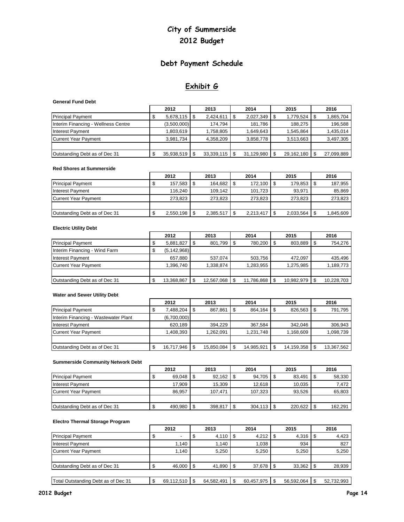### **Debt Payment Schedule**

### **Exhibit G**

#### **General Fund Debt**

|                                     | 2012        | 2013       | 2014       | 2015       | 2016       |
|-------------------------------------|-------------|------------|------------|------------|------------|
| <b>Principal Payment</b>            | 5.678.115   | 2.424.611  | 2,027,349  | 1,779,524  | 1,865,704  |
| Interim Financing - Wellness Centre | (3,500,000) | 174.794    | 181.786    | 188.275    | 196,588    |
| <b>Interest Payment</b>             | 1.803.619   | 1,758,805  | 1.649.643  | 1.545.864  | 1,435,014  |
| <b>Current Year Payment</b>         | 3.981.734   | 4.358.209  | 3.858.778  | 3,513,663  | 3,497,305  |
|                                     |             |            |            |            |            |
| Outstanding Debt as of Dec 31       | 35,938,519  | 33,339,115 | 31,129,980 | 29,162,180 | 27,099,889 |

#### **Red Shores at Summerside**

|                               | 2012      | 2013      | 2014      | 2015                                | 2016      |
|-------------------------------|-----------|-----------|-----------|-------------------------------------|-----------|
| <b>Principal Payment</b>      | 157.583   | 164.682   | 172.100   | $179.853$ $\overline{\phantom{1}5}$ | 187.955   |
| <b>Interest Payment</b>       | 116.240   | 109.142   | 101.723   | 93.971                              | 85.869    |
| <b>Current Year Payment</b>   | 273.823   | 273.823   | 273.823   | 273.823                             | 273.823   |
|                               |           |           |           |                                     |           |
| Outstanding Debt as of Dec 31 | 2,550,198 | 2,385,517 | 2.213.417 | 2,033,564                           | 1.845.609 |

#### **Electric Utility Debt**

|                               | 2012          | 2013         | 2014         | 2015       | 2016       |
|-------------------------------|---------------|--------------|--------------|------------|------------|
| <b>Principal Payment</b>      | 5,881,827     | 801.799   \$ | 780.200   \$ | 803.889    | 754.276    |
| Interim Financing - Wind Farm | (5, 142, 968) |              |              |            |            |
| <b>Interest Payment</b>       | 657.880       | 537.074      | 503.756      | 472.097    | 435.496    |
| <b>Current Year Payment</b>   | 1.396.740     | 1.338.874    | 1,283,955    | 1,275,985  | 1,189,773  |
|                               |               |              |              |            |            |
| Outstanding Debt as of Dec 31 | 13,368,867    | 12,567,068   | 11,786,868   | 10,982,979 | 10,228,703 |

#### **Water and Sewer Utility Debt**

|                                      | 2012        | 2013       | 2014       | 2015       | 2016       |
|--------------------------------------|-------------|------------|------------|------------|------------|
| <b>Principal Payment</b>             | 7.488.204   | 867.861    | 864.164    | 826.563    | 791,795    |
| Interim Financing - Wastewater Plant | (6,700,000) |            |            |            |            |
| Interest Payment                     | 620.189     | 394.229    | 367.584    | 342.046    | 306.943    |
| <b>Current Year Payment</b>          | 1,408,393   | 1.262.091  | 1.231.748  | 1.168.609  | 1,098,739  |
|                                      |             |            |            |            |            |
| Outstanding Debt as of Dec 31        | 16,717,946  | 15,850,084 | 14,985,921 | 14,159,358 | 13,367,562 |

#### **Summerside Community Network Debt**

|                               | 2012    | 2013    | 2014 |         | 2015 |         | 2016    |
|-------------------------------|---------|---------|------|---------|------|---------|---------|
| <b>Principal Payment</b>      | 69.048  | 92.162  |      | 94.705  |      | 83.491  | 58,330  |
| <b>Interest Payment</b>       | 17.909  | 15.309  |      | 12.618  |      | 10.035  | 7.472   |
| <b>Current Year Payment</b>   | 86.957  | 107.471 |      | 107.323 |      | 93.526  | 65.803  |
|                               |         |         |      |         |      |         |         |
| Outstanding Debt as of Dec 31 | 490.980 | 398.817 |      | 304.113 |      | 220.622 | 162,291 |

#### **Electro Thermal Storage Program**

|                                     |   | 2012       |    | 2013       |      | 2014       |    | 2015       | 2016       |
|-------------------------------------|---|------------|----|------------|------|------------|----|------------|------------|
| <b>Principal Payment</b>            | จ |            | J  | 4,110      | - \$ | 4,212      | -8 | 4,316      | 4,423      |
| <b>Interest Payment</b>             |   | 1.140      |    | 1.140      |      | 1.038      |    | 934        | 827        |
| <b>Current Year Payment</b>         |   | 1.140      |    | 5.250      |      | 5.250      |    | 5.250      | 5,250      |
|                                     |   |            |    |            |      |            |    |            |            |
| Outstanding Debt as of Dec 31       |   | 46.000     |    | 41,890     | -S   | 37,678     |    | 33,362     | 28,939     |
|                                     |   |            |    |            |      |            |    |            |            |
| Total Outstanding Debt as of Dec 31 |   | 69,112,510 | \$ | 64,582,491 |      | 60,457,975 |    | 56,592,064 | 52,732,993 |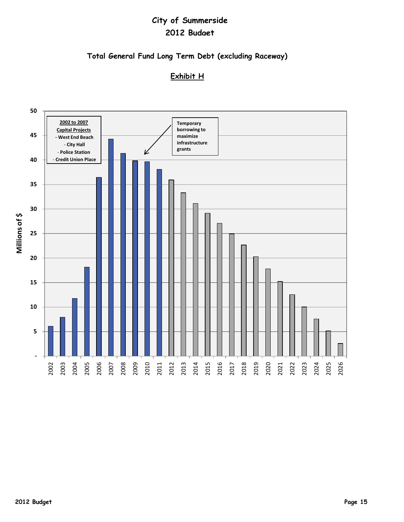### **Total General Fund Long Term Debt (excluding Raceway)**

### **Exhibit H**

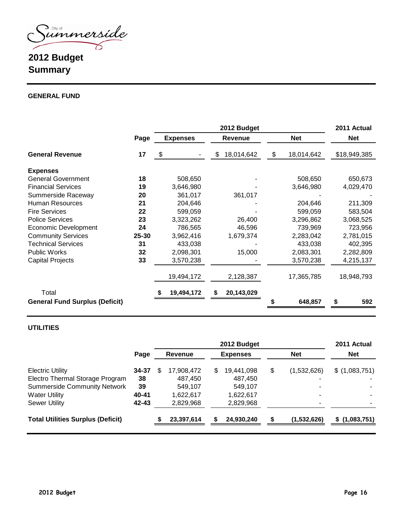Summerside

## **2012 Budget Summary**

### **GENERAL FUND**

|                                       |       |                 |    | 2012 Budget    |   |            | 2011 Actual  |
|---------------------------------------|-------|-----------------|----|----------------|---|------------|--------------|
|                                       | Page  | <b>Expenses</b> |    | <b>Revenue</b> |   | <b>Net</b> | <b>Net</b>   |
| <b>General Revenue</b>                | 17    | \$              | S  | 18,014,642     | S | 18,014,642 | \$18,949,385 |
| <b>Expenses</b>                       |       |                 |    |                |   |            |              |
| <b>General Government</b>             | 18    | 508,650         |    |                |   | 508,650    | 650,673      |
| <b>Financial Services</b>             | 19    | 3,646,980       |    |                |   | 3,646,980  | 4,029,470    |
| Summerside Raceway                    | 20    | 361,017         |    | 361,017        |   |            |              |
| Human Resources                       | 21    | 204,646         |    |                |   | 204,646    | 211,309      |
| <b>Fire Services</b>                  | 22    | 599,059         |    |                |   | 599,059    | 583,504      |
| <b>Police Services</b>                | 23    | 3,323,262       |    | 26,400         |   | 3,296,862  | 3,068,525    |
| Economic Development                  | 24    | 786,565         |    | 46,596         |   | 739,969    | 723,956      |
| <b>Community Services</b>             | 25-30 | 3,962,416       |    | 1,679,374      |   | 2,283,042  | 2,781,015    |
| <b>Technical Services</b>             | 31    | 433,038         |    |                |   | 433,038    | 402,395      |
| <b>Public Works</b>                   | 32    | 2,098,301       |    | 15,000         |   | 2,083,301  | 2,282,809    |
| <b>Capital Projects</b>               | 33    | 3,570,238       |    |                |   | 3,570,238  | 4,215,137    |
|                                       |       | 19,494,172      |    | 2,128,387      |   | 17,365,785 | 18,948,793   |
| Total                                 |       | 19,494,172      | \$ | 20,143,029     |   |            |              |
| <b>General Fund Surplus (Deficit)</b> |       |                 |    |                |   | 648,857    | \$<br>592    |

### **UTILITIES**

|                                          |       |                  |   | 2012 Budget     |                   | 2011 Actual    |
|------------------------------------------|-------|------------------|---|-----------------|-------------------|----------------|
|                                          | Page  | Revenue          |   | <b>Expenses</b> | <b>Net</b>        | <b>Net</b>     |
| <b>Electric Utility</b>                  | 34-37 | \$<br>17,908,472 | S | 19,441,098      | \$<br>(1,532,626) | \$ (1,083,751) |
| Electro Thermal Storage Program          | 38    | 487,450          |   | 487,450         |                   |                |
| <b>Summerside Community Network</b>      | 39    | 549.107          |   | 549.107         |                   |                |
| <b>Water Utility</b>                     | 40-41 | 1,622,617        |   | 1,622,617       |                   |                |
| <b>Sewer Utility</b>                     | 42-43 | 2,829,968        |   | 2,829,968       |                   |                |
| <b>Total Utilities Surplus (Deficit)</b> |       | 23,397,614       |   | 24,930,240      | (1,532,626)       | \$(1,083,751)  |
|                                          |       |                  |   |                 |                   |                |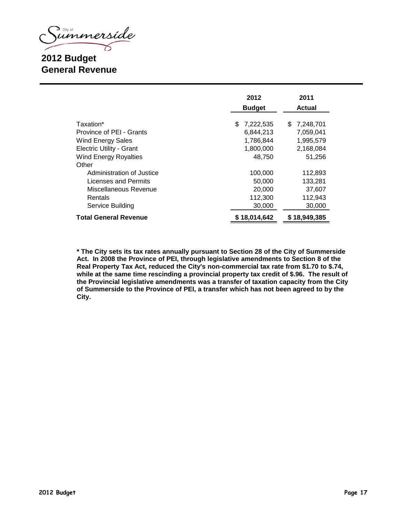Summerside

**2012 Budget General Revenue**

|                                                                                                                               | 2012<br><b>Budget</b>                                             | 2011<br>Actual                                                    |
|-------------------------------------------------------------------------------------------------------------------------------|-------------------------------------------------------------------|-------------------------------------------------------------------|
| Taxation*<br>Province of PEI - Grants<br>Wind Energy Sales<br><b>Electric Utility - Grant</b><br><b>Wind Energy Royalties</b> | \$.<br>7,222,535<br>6,844,213<br>1,786,844<br>1,800,000<br>48.750 | 7,248,701<br>\$.<br>7,059,041<br>1,995,579<br>2,168,084<br>51,256 |
| Other<br>Administration of Justice<br>Licenses and Permits<br>Miscellaneous Revenue<br>Rentals<br>Service Building            | 100,000<br>50,000<br>20,000<br>112,300<br>30,000                  | 112,893<br>133,281<br>37,607<br>112,943<br>30,000                 |
| Total General Revenue                                                                                                         | \$18,014,642                                                      | \$18,949,385                                                      |

**\* The City sets its tax rates annually pursuant to Section 28 of the City of Summerside Act. In 2008 the Province of PEI, through legislative amendments to Section 8 of the Real Property Tax Act, reduced the City's non-commercial tax rate from \$1.70 to \$.74,**  while at the same time rescinding a provincial property tax credit of \$.96. The result of **the Provincial legislative amendments was a transfer of taxation capacity from the City of Summerside to the Province of PEI, a transfer which has not been agreed to by the City.**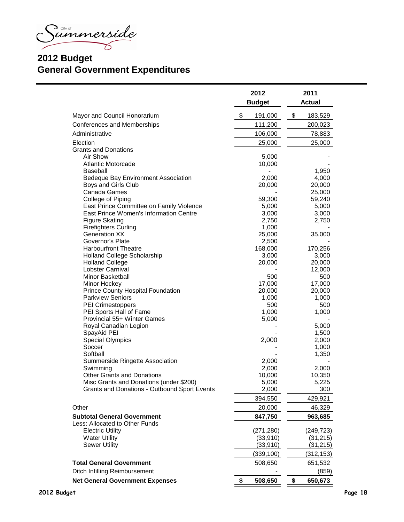Summerside

## **2012 Budget General Government Expenditures**

|                                                   | 2012<br><b>Budget</b> | 2011<br><b>Actual</b> |
|---------------------------------------------------|-----------------------|-----------------------|
| Mayor and Council Honorarium                      | \$<br>191,000         | \$<br>183,529         |
| Conferences and Memberships                       | 111,200               | 200,023               |
| Administrative                                    | 106,000               | 78,883                |
| Election                                          |                       | 25,000                |
| <b>Grants and Donations</b>                       | 25,000                |                       |
| Air Show                                          | 5,000                 |                       |
| <b>Atlantic Motorcade</b>                         | 10,000                |                       |
| Baseball                                          |                       | 1,950                 |
| Bedeque Bay Environment Association               | 2,000                 | 4,000                 |
| Boys and Girls Club                               | 20,000                | 20,000                |
| Canada Games                                      |                       | 25,000                |
| College of Piping                                 | 59,300                | 59,240                |
| East Prince Committee on Family Violence          | 5,000                 | 5,000                 |
| East Prince Women's Information Centre            | 3,000                 | 3,000                 |
| <b>Figure Skating</b>                             | 2,750                 | 2,750                 |
| <b>Firefighters Curling</b>                       | 1,000                 |                       |
| <b>Generation XX</b>                              | 25,000                | 35,000                |
| Governor's Plate                                  | 2,500                 |                       |
| <b>Harbourfront Theatre</b>                       | 168,000               | 170,256               |
| <b>Holland College Scholarship</b>                | 3,000                 | 3,000                 |
| <b>Holland College</b>                            | 20,000                | 20,000                |
| Lobster Carnival                                  |                       | 12,000                |
| Minor Basketball                                  | 500<br>17,000         | 500<br>17,000         |
| Minor Hockey<br>Prince County Hospital Foundation | 20,000                | 20,000                |
| <b>Parkview Seniors</b>                           | 1,000                 | 1,000                 |
| <b>PEI Crimestoppers</b>                          | 500                   | 500                   |
| PEI Sports Hall of Fame                           | 1,000                 | 1,000                 |
| Provincial 55+ Winter Games                       | 5,000                 |                       |
| Royal Canadian Legion                             |                       | 5,000                 |
| SpayAid PEI                                       |                       | 1,500                 |
| <b>Special Olympics</b>                           | 2,000                 | 2,000                 |
| Soccer                                            |                       | 1,000                 |
| Softball                                          |                       | 1,350                 |
| Summerside Ringette Association                   | 2,000                 |                       |
| Swimming                                          | 2,000                 | 2,000                 |
| <b>Other Grants and Donations</b>                 | 10,000                | 10,350                |
| Misc Grants and Donations (under \$200)           | 5,000                 | 5,225                 |
| Grants and Donations - Outbound Sport Events      | 2,000                 | 300                   |
|                                                   | 394,550               | 429,921               |
| Other                                             | 20,000                | 46,329                |
| <b>Subtotal General Government</b>                | 847,750               | 963,685               |
| Less: Allocated to Other Funds                    |                       |                       |
| <b>Electric Utility</b>                           | (271, 280)            | (249, 723)            |
| <b>Water Utility</b>                              | (33,910)              | (31, 215)             |
| <b>Sewer Utility</b>                              | (33, 910)             | (31, 215)             |
|                                                   | (339, 100)            | (312, 153)            |
| <b>Total General Government</b>                   | 508,650               | 651,532               |
| Ditch Infilling Reimbursement                     |                       | (859)                 |
|                                                   |                       |                       |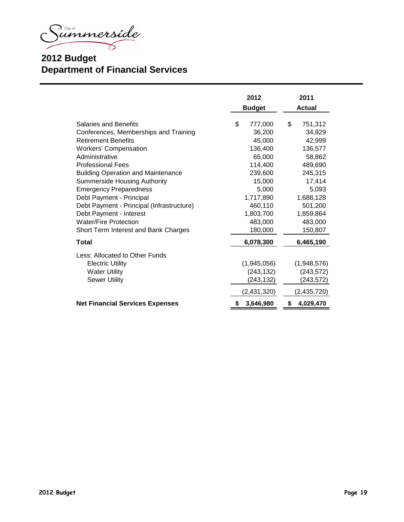Summerside

**2012 Budget Department of Financial Services**

|                                                                                                                                                                                                                                                                                                                                                                                                                                                                                    | 2012                                                                                                                                                       | 2011                                                                                                                                                       |
|------------------------------------------------------------------------------------------------------------------------------------------------------------------------------------------------------------------------------------------------------------------------------------------------------------------------------------------------------------------------------------------------------------------------------------------------------------------------------------|------------------------------------------------------------------------------------------------------------------------------------------------------------|------------------------------------------------------------------------------------------------------------------------------------------------------------|
|                                                                                                                                                                                                                                                                                                                                                                                                                                                                                    | <b>Budget</b>                                                                                                                                              | <b>Actual</b>                                                                                                                                              |
| <b>Salaries and Benefits</b><br>Conferences, Memberships and Training<br><b>Retirement Benefits</b><br><b>Workers' Compensation</b><br>Administrative<br><b>Professional Fees</b><br><b>Building Operation and Maintenance</b><br><b>Summerside Housing Authority</b><br><b>Emergency Preparedness</b><br>Debt Payment - Principal<br>Debt Payment - Principal (Infrastructure)<br>Debt Payment - Interest<br><b>Water/Fire Protection</b><br>Short Term Interest and Bank Charges | \$<br>777,000<br>36,200<br>45,000<br>136,400<br>65,000<br>114,400<br>239,600<br>15,000<br>5,000<br>1,717,890<br>460,110<br>1,803,700<br>483,000<br>180,000 | \$<br>751,312<br>34.929<br>42,999<br>136,577<br>58,862<br>489,690<br>245,315<br>17,414<br>5,093<br>1,688,128<br>501,200<br>1,859,864<br>483,000<br>150,807 |
| Total                                                                                                                                                                                                                                                                                                                                                                                                                                                                              | 6,078,300                                                                                                                                                  | 6,465,190                                                                                                                                                  |
| Less: Allocated to Other Funds<br><b>Electric Utility</b><br><b>Water Utility</b><br><b>Sewer Utility</b>                                                                                                                                                                                                                                                                                                                                                                          | (1,945,056)<br>(243, 132)<br>(243,132)<br>(2,431,320)                                                                                                      | (1,948,576)<br>(243, 572)<br>(243, 572)<br>(2,435,720)                                                                                                     |
| <b>Net Financial Services Expenses</b>                                                                                                                                                                                                                                                                                                                                                                                                                                             | 3,646,980                                                                                                                                                  | 4,029,470                                                                                                                                                  |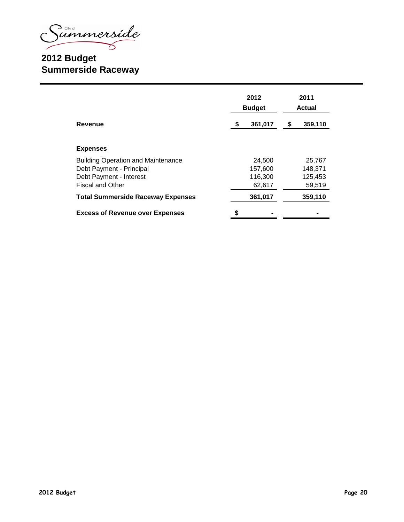Summerside

**2012 Budget Summerside Raceway**

|                                           |    | 2012<br><b>Budget</b> |    | 2011<br>Actual |  |
|-------------------------------------------|----|-----------------------|----|----------------|--|
| Revenue                                   | \$ | 361,017               | \$ | 359,110        |  |
| <b>Expenses</b>                           |    |                       |    |                |  |
| <b>Building Operation and Maintenance</b> |    | 24,500                |    | 25,767         |  |
| Debt Payment - Principal                  |    | 157,600               |    | 148,371        |  |
| Debt Payment - Interest                   |    | 116,300               |    | 125,453        |  |
| <b>Fiscal and Other</b>                   |    | 62,617                |    | 59,519         |  |
| <b>Total Summerside Raceway Expenses</b>  |    | 361,017               |    | 359,110        |  |
| <b>Excess of Revenue over Expenses</b>    | 5  |                       |    |                |  |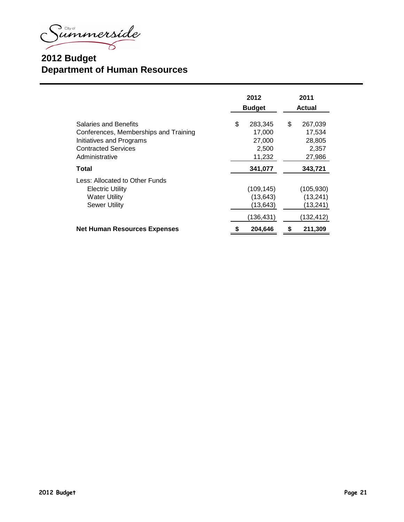Summerside

**2012 Budget Department of Human Resources**

|                                                                                                                                                   | 2012<br><b>Budget</b>                                | 2011<br>Actual                                        |
|---------------------------------------------------------------------------------------------------------------------------------------------------|------------------------------------------------------|-------------------------------------------------------|
| <b>Salaries and Benefits</b><br>Conferences, Memberships and Training<br>Initiatives and Programs<br><b>Contracted Services</b><br>Administrative | \$<br>283,345<br>17,000<br>27,000<br>2,500<br>11,232 | \$.<br>267,039<br>17,534<br>28,805<br>2,357<br>27,986 |
| Total                                                                                                                                             | 341,077                                              | 343,721                                               |
| Less: Allocated to Other Funds<br>Electric Utility<br><b>Water Utility</b><br><b>Sewer Utility</b>                                                | (109, 145)<br>(13, 643)<br>(13, 643)                 | (105, 930)<br>(13, 241)<br>(13,241)                   |
|                                                                                                                                                   | (136,431)                                            | (132,412)                                             |
| <b>Net Human Resources Expenses</b>                                                                                                               | 204,646<br>\$                                        | 211,309<br>S                                          |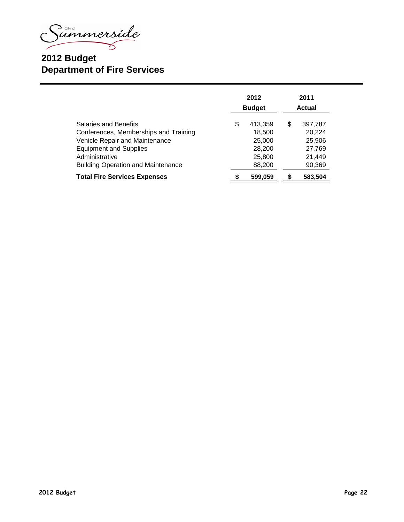Summerside

**2012 Budget Department of Fire Services**

|                                           |    | 2012<br><b>Budget</b> |   | 2011<br><b>Actual</b> |
|-------------------------------------------|----|-----------------------|---|-----------------------|
| Salaries and Benefits                     | \$ | 413,359               | S | 397,787               |
| Conferences, Memberships and Training     |    | 18,500                |   | 20,224                |
| Vehicle Repair and Maintenance            |    | 25,000                |   | 25,906                |
| <b>Equipment and Supplies</b>             |    | 28,200                |   | 27,769                |
| Administrative                            |    | 25,800                |   | 21,449                |
| <b>Building Operation and Maintenance</b> |    | 88,200                |   | 90,369                |
| <b>Total Fire Services Expenses</b>       | S  | 599,059               |   | 583,504               |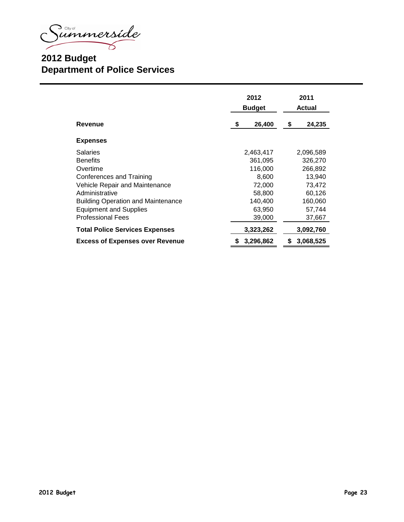Summerside

**2012 Budget Department of Police Services**

|                                           | 2012<br><b>Budget</b> | 2011<br><b>Actual</b> |  |
|-------------------------------------------|-----------------------|-----------------------|--|
| Revenue                                   | 26,400<br>-\$         | \$<br>24,235          |  |
| <b>Expenses</b>                           |                       |                       |  |
| <b>Salaries</b>                           | 2,463,417             | 2,096,589             |  |
| <b>Benefits</b>                           | 361,095               | 326,270               |  |
| Overtime                                  | 116,000               | 266,892               |  |
| Conferences and Training                  | 8,600                 | 13,940                |  |
| Vehicle Repair and Maintenance            | 72,000                | 73,472                |  |
| Administrative                            | 58,800                | 60,126                |  |
| <b>Building Operation and Maintenance</b> | 140,400               | 160,060               |  |
| <b>Equipment and Supplies</b>             | 63,950                | 57,744                |  |
| <b>Professional Fees</b>                  | 39,000                | 37,667                |  |
| <b>Total Police Services Expenses</b>     | 3,323,262             | 3,092,760             |  |
| <b>Excess of Expenses over Revenue</b>    | 3,296,862<br>5        | 3,068,525             |  |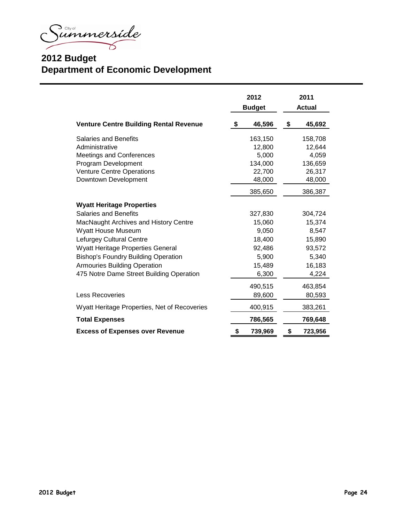Summerside

## **2012 Budget Department of Economic Development**

|                                                                                                                                                                                                                                                                                                                                          | 2012<br><b>Budget</b>                                                                 | 2011<br><b>Actual</b>                                                                 |
|------------------------------------------------------------------------------------------------------------------------------------------------------------------------------------------------------------------------------------------------------------------------------------------------------------------------------------------|---------------------------------------------------------------------------------------|---------------------------------------------------------------------------------------|
| <b>Venture Centre Building Rental Revenue</b>                                                                                                                                                                                                                                                                                            | \$<br>46,596                                                                          | \$<br>45,692                                                                          |
| <b>Salaries and Benefits</b><br>Administrative<br><b>Meetings and Conferences</b><br>Program Development<br><b>Venture Centre Operations</b><br>Downtown Development                                                                                                                                                                     | 163,150<br>12,800<br>5,000<br>134,000<br>22,700<br>48,000                             | 158,708<br>12,644<br>4,059<br>136,659<br>26,317<br>48,000                             |
| <b>Wyatt Heritage Properties</b><br><b>Salaries and Benefits</b><br>MacNaught Archives and History Centre<br><b>Wyatt House Museum</b><br>Lefurgey Cultural Centre<br>Wyatt Heritage Properties General<br><b>Bishop's Foundry Building Operation</b><br><b>Armouries Building Operation</b><br>475 Notre Dame Street Building Operation | 385,650<br>327,830<br>15,060<br>9,050<br>18,400<br>92,486<br>5,900<br>15,489<br>6,300 | 386,387<br>304,724<br>15,374<br>8,547<br>15,890<br>93,572<br>5,340<br>16,183<br>4,224 |
| <b>Less Recoveries</b><br>Wyatt Heritage Properties, Net of Recoveries<br><b>Total Expenses</b>                                                                                                                                                                                                                                          | 490,515<br>89,600<br>400,915<br>786,565                                               | 463,854<br>80,593<br>383,261<br>769,648                                               |
| <b>Excess of Expenses over Revenue</b>                                                                                                                                                                                                                                                                                                   | \$<br>739,969                                                                         | 723,956<br>\$                                                                         |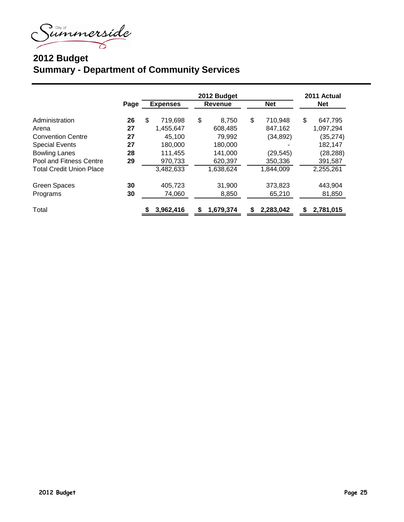Summerside

## **2012 Budget Summary - Department of Community Services**

|                                 | Page | <b>Expenses</b> | 2012 Budget<br><b>Revenue</b> | <b>Net</b>     | 2011 Actual<br><b>Net</b> |
|---------------------------------|------|-----------------|-------------------------------|----------------|---------------------------|
| Administration                  | 26   | \$<br>719,698   | \$<br>8.750                   | \$<br>710,948  | \$<br>647,795             |
| Arena                           | 27   | 1,455,647       | 608,485                       | 847,162        | 1,097,294                 |
| <b>Convention Centre</b>        | 27   | 45.100          | 79.992                        | (34, 892)      | (35, 274)                 |
| <b>Special Events</b>           | 27   | 180,000         | 180,000                       |                | 182,147                   |
| <b>Bowling Lanes</b>            | 28   | 111,455         | 141,000                       | (29, 545)      | (28, 288)                 |
| Pool and Fitness Centre         | 29   | 970,733         | 620,397                       | 350,336        | 391,587                   |
| <b>Total Credit Union Place</b> |      | 3,482,633       | 1,638,624                     | 1,844,009      | 2,255,261                 |
| <b>Green Spaces</b>             | 30   | 405.723         | 31,900                        | 373,823        | 443,904                   |
| Programs                        | 30   | 74,060          | 8,850                         | 65,210         | 81,850                    |
| Total                           |      | 3,962,416       | 1,679,374<br>S                | 2,283,042<br>S | 2,781,015<br>S            |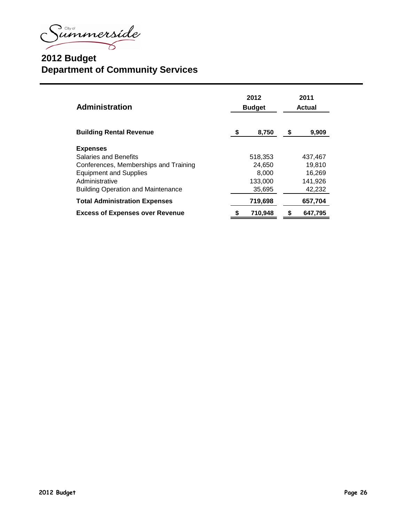Summerside

**2012 Budget Department of Community Services**

| <b>Administration</b>                     | 2012<br><b>Budget</b> | 2011<br>Actual |
|-------------------------------------------|-----------------------|----------------|
| <b>Building Rental Revenue</b>            | 8,750<br>\$           | 9,909<br>\$    |
| <b>Expenses</b>                           |                       |                |
| <b>Salaries and Benefits</b>              | 518,353               | 437,467        |
| Conferences, Memberships and Training     | 24,650                | 19,810         |
| <b>Equipment and Supplies</b>             | 8,000                 | 16,269         |
| Administrative                            | 133,000               | 141,926        |
| <b>Building Operation and Maintenance</b> | 35,695                | 42,232         |
| <b>Total Administration Expenses</b>      | 719,698               | 657.704        |
| <b>Excess of Expenses over Revenue</b>    | 710,948               | 647,795        |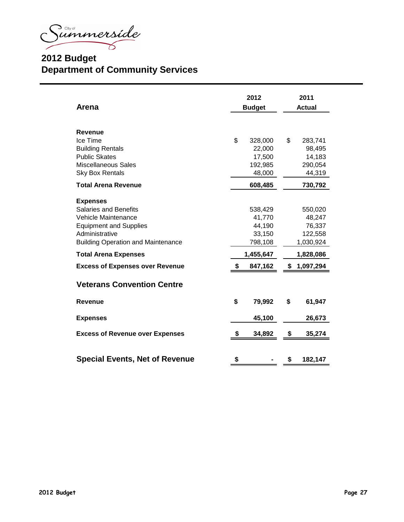Summerside

## **2012 Budget Department of Community Services**

| <b>Arena</b>                                                                                                                                                           | 2012<br><b>Budget</b>                                             | 2011<br><b>Actual</b>                                             |
|------------------------------------------------------------------------------------------------------------------------------------------------------------------------|-------------------------------------------------------------------|-------------------------------------------------------------------|
| Revenue<br>Ice Time<br><b>Building Rentals</b><br><b>Public Skates</b><br><b>Miscellaneous Sales</b><br><b>Sky Box Rentals</b><br><b>Total Arena Revenue</b>           | \$<br>328,000<br>22,000<br>17,500<br>192,985<br>48,000<br>608,485 | \$<br>283,741<br>98,495<br>14,183<br>290,054<br>44,319<br>730,792 |
|                                                                                                                                                                        |                                                                   |                                                                   |
| <b>Expenses</b><br><b>Salaries and Benefits</b><br>Vehicle Maintenance<br><b>Equipment and Supplies</b><br>Administrative<br><b>Building Operation and Maintenance</b> | 538,429<br>41,770<br>44,190<br>33,150<br>798,108                  | 550,020<br>48,247<br>76,337<br>122,558<br>1,030,924               |
| <b>Total Arena Expenses</b>                                                                                                                                            | 1,455,647                                                         | 1,828,086                                                         |
| <b>Excess of Expenses over Revenue</b>                                                                                                                                 | \$<br>847,162                                                     | 1,097,294                                                         |
| <b>Veterans Convention Centre</b>                                                                                                                                      |                                                                   |                                                                   |
| <b>Revenue</b>                                                                                                                                                         | \$<br>79,992                                                      | \$<br>61,947                                                      |
| <b>Expenses</b>                                                                                                                                                        | 45,100                                                            | 26,673                                                            |
| <b>Excess of Revenue over Expenses</b>                                                                                                                                 | \$<br>34,892                                                      | \$<br>35,274                                                      |
| <b>Special Events, Net of Revenue</b>                                                                                                                                  | \$                                                                | 182,147<br>\$                                                     |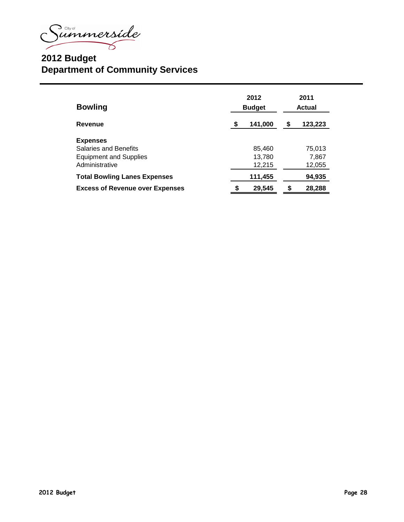Summerside

**2012 Budget Department of Community Services**

| <b>Bowling</b>                         | 2012<br><b>Budget</b> | 2011<br>Actual |
|----------------------------------------|-----------------------|----------------|
| Revenue                                | \$<br>141,000         | 123,223<br>S   |
| <b>Expenses</b>                        |                       |                |
| Salaries and Benefits                  | 85,460                | 75,013         |
| Equipment and Supplies                 | 13,780                | 7,867          |
| Administrative                         | 12,215                | 12,055         |
| <b>Total Bowling Lanes Expenses</b>    | 111,455               | 94,935         |
| <b>Excess of Revenue over Expenses</b> | 29,545<br>S           | 28,288         |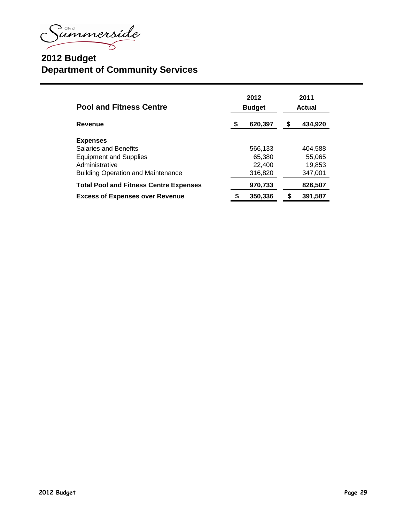Summerside

**2012 Budget Department of Community Services**

| <b>Pool and Fitness Centre</b>                |   |         | 2012<br>2011<br><b>Budget</b><br><b>Actual</b> |         |
|-----------------------------------------------|---|---------|------------------------------------------------|---------|
| Revenue                                       | S | 620,397 | S                                              | 434,920 |
| <b>Expenses</b>                               |   |         |                                                |         |
| Salaries and Benefits                         |   | 566.133 |                                                | 404.588 |
| <b>Equipment and Supplies</b>                 |   | 65,380  |                                                | 55,065  |
| Administrative                                |   | 22,400  |                                                | 19,853  |
| <b>Building Operation and Maintenance</b>     |   | 316,820 |                                                | 347,001 |
| <b>Total Pool and Fitness Centre Expenses</b> |   | 970,733 |                                                | 826,507 |
| <b>Excess of Expenses over Revenue</b>        |   | 350.336 |                                                | 391.587 |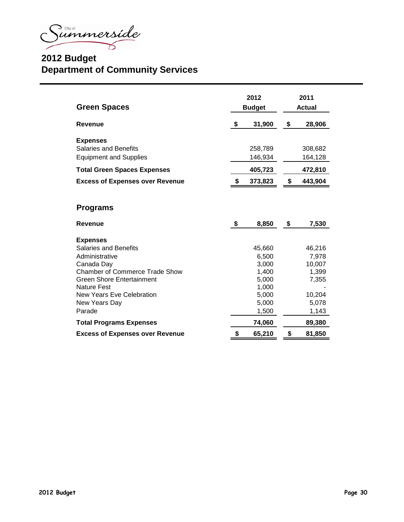Summerside

## **2012 Budget Department of Community Services**

| <b>Green Spaces</b>                                                                                                                                                                                                                        |    | 2012<br><b>Budget</b>                                                          | 2011<br><b>Actual</b>                                                   |
|--------------------------------------------------------------------------------------------------------------------------------------------------------------------------------------------------------------------------------------------|----|--------------------------------------------------------------------------------|-------------------------------------------------------------------------|
| Revenue                                                                                                                                                                                                                                    | \$ | 31,900                                                                         | \$<br>28,906                                                            |
| <b>Expenses</b><br><b>Salaries and Benefits</b><br><b>Equipment and Supplies</b>                                                                                                                                                           |    | 258,789<br>146,934                                                             | 308,682<br>164,128                                                      |
| <b>Total Green Spaces Expenses</b>                                                                                                                                                                                                         |    | 405,723                                                                        | 472,810                                                                 |
| <b>Excess of Expenses over Revenue</b>                                                                                                                                                                                                     | S. | 373,823                                                                        | \$<br>443,904                                                           |
| <b>Programs</b><br>Revenue                                                                                                                                                                                                                 | \$ | 8,850                                                                          | \$<br>7,530                                                             |
| <b>Expenses</b><br><b>Salaries and Benefits</b><br>Administrative<br>Canada Day<br><b>Chamber of Commerce Trade Show</b><br><b>Green Shore Entertainment</b><br><b>Nature Fest</b><br>New Years Eve Celebration<br>New Years Day<br>Parade |    | 45,660<br>6,500<br>3,000<br>1,400<br>5,000<br>1,000<br>5,000<br>5,000<br>1,500 | 46,216<br>7,978<br>10,007<br>1,399<br>7,355<br>10,204<br>5,078<br>1,143 |
| <b>Total Programs Expenses</b>                                                                                                                                                                                                             |    | 74,060                                                                         | 89,380                                                                  |
| <b>Excess of Expenses over Revenue</b>                                                                                                                                                                                                     |    | 65,210                                                                         | \$<br>81,850                                                            |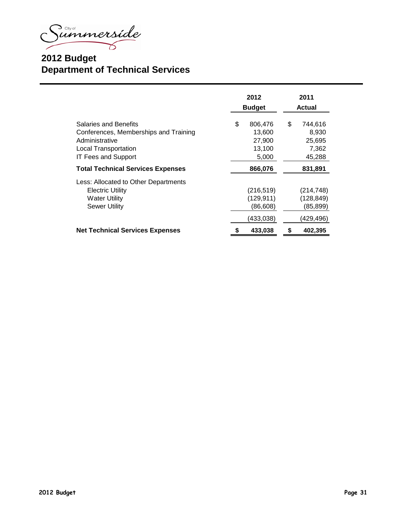Summerside

**2012 Budget Department of Technical Services**

|                                                                                                                                               | 2012<br><b>Budget</b>                                | 2011<br>Actual                                      |
|-----------------------------------------------------------------------------------------------------------------------------------------------|------------------------------------------------------|-----------------------------------------------------|
| <b>Salaries and Benefits</b><br>Conferences, Memberships and Training<br>Administrative<br>Local Transportation<br><b>IT Fees and Support</b> | \$<br>806,476<br>13,600<br>27,900<br>13,100<br>5,000 | \$<br>744,616<br>8,930<br>25,695<br>7,362<br>45,288 |
| <b>Total Technical Services Expenses</b>                                                                                                      | 866,076                                              | 831,891                                             |
| Less: Allocated to Other Departments<br><b>Electric Utility</b><br><b>Water Utility</b><br><b>Sewer Utility</b>                               | (216, 519)<br>(129,911)<br>(86, 608)                 | (214, 748)<br>(128,849)<br>(85,899)                 |
|                                                                                                                                               | (433, 038)                                           | (429,496)                                           |
| <b>Net Technical Services Expenses</b>                                                                                                        | \$<br>433,038                                        | 402,395<br>S                                        |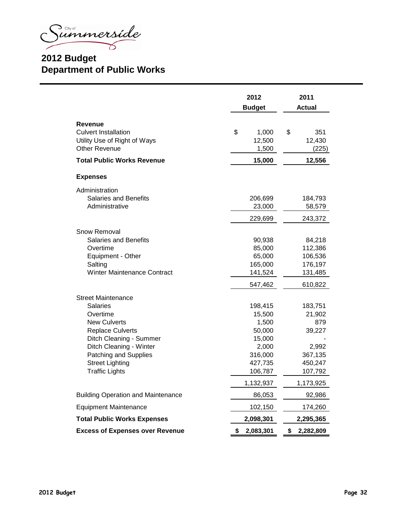Summerside

**2012 Budget Department of Public Works**

|                                                      | 2012<br><b>Budget</b> | 2011<br><b>Actual</b> |
|------------------------------------------------------|-----------------------|-----------------------|
| <b>Revenue</b><br><b>Culvert Installation</b>        | \$<br>1,000           | \$<br>351             |
| Utility Use of Right of Ways<br><b>Other Revenue</b> | 12,500<br>1,500       | 12,430<br>(225)       |
| <b>Total Public Works Revenue</b>                    | 15,000                | 12,556                |
| <b>Expenses</b>                                      |                       |                       |
| Administration                                       |                       |                       |
| <b>Salaries and Benefits</b><br>Administrative       | 206,699<br>23,000     | 184,793<br>58,579     |
|                                                      | 229,699               | 243,372               |
| Snow Removal                                         |                       |                       |
| <b>Salaries and Benefits</b>                         | 90,938                | 84,218                |
| Overtime                                             | 85,000                | 112,386               |
| Equipment - Other                                    | 65,000                | 106,536               |
| Salting                                              | 165,000               | 176,197               |
| <b>Winter Maintenance Contract</b>                   | 141,524               | 131,485               |
|                                                      | 547,462               | 610,822               |
| <b>Street Maintenance</b>                            |                       |                       |
| <b>Salaries</b>                                      | 198,415               | 183,751               |
| Overtime                                             | 15,500                | 21,902                |
| <b>New Culverts</b>                                  | 1,500                 | 879                   |
| <b>Replace Culverts</b>                              | 50,000<br>15,000      | 39,227                |
| Ditch Cleaning - Summer<br>Ditch Cleaning - Winter   | 2,000                 | 2,992                 |
| Patching and Supplies                                | 316,000               | 367,135               |
| <b>Street Lighting</b>                               | 427,735               | 450,247               |
| <b>Traffic Lights</b>                                | 106,787               | 107,792               |
|                                                      | 1,132,937             | 1,173,925             |
| <b>Building Operation and Maintenance</b>            | 86,053                | 92,986                |
| <b>Equipment Maintenance</b>                         | 102,150               | 174,260               |
| <b>Total Public Works Expenses</b>                   | 2,098,301             | 2,295,365             |
| <b>Excess of Expenses over Revenue</b>               | 2,083,301<br>\$       | 2,282,809<br>\$       |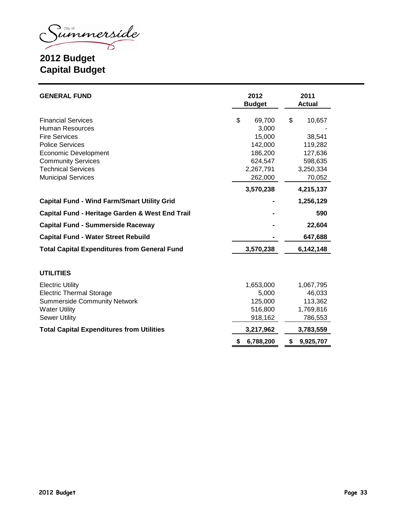Summerside

## **2012 Budget Capital Budget**

| <b>GENERAL FUND</b>                                 | 2012<br><b>Budget</b> | 2011<br><b>Actual</b> |
|-----------------------------------------------------|-----------------------|-----------------------|
| <b>Financial Services</b>                           | \$<br>69,700          | \$<br>10,657          |
| <b>Human Resources</b>                              | 3,000                 |                       |
| <b>Fire Services</b>                                | 15,000                | 38,541                |
| <b>Police Services</b>                              | 142,000               | 119,282               |
| <b>Economic Development</b>                         | 186,200               | 127,636               |
| <b>Community Services</b>                           | 624,547               | 598,635               |
| <b>Technical Services</b>                           | 2,267,791             | 3,250,334             |
| <b>Municipal Services</b>                           | 262,000               | 70,052                |
|                                                     | 3,570,238             | 4,215,137             |
| <b>Capital Fund - Wind Farm/Smart Utility Grid</b>  |                       | 1,256,129             |
| Capital Fund - Heritage Garden & West End Trail     |                       | 590                   |
| <b>Capital Fund - Summerside Raceway</b>            |                       | 22,604                |
| <b>Capital Fund - Water Street Rebuild</b>          |                       | 647,688               |
| <b>Total Capital Expenditures from General Fund</b> | 3,570,238             | 6,142,148             |
| <b>UTILITIES</b>                                    |                       |                       |
| <b>Electric Utility</b>                             | 1,653,000             | 1,067,795             |
| <b>Electric Thermal Storage</b>                     | 5,000                 | 46,033                |
| <b>Summerside Community Network</b>                 | 125,000               | 113,362               |
| <b>Water Utility</b>                                | 516,800               | 1,769,816             |
| <b>Sewer Utility</b>                                | 918,162               | 786,553               |
| <b>Total Capital Expenditures from Utilities</b>    | 3,217,962             | 3,783,559             |
|                                                     | \$<br>6,788,200       | 9,925,707<br>\$       |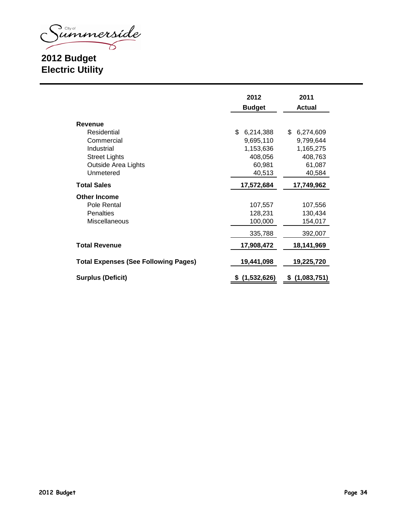Summerside

|                                             | 2012<br><b>Budget</b> | 2011<br><b>Actual</b> |
|---------------------------------------------|-----------------------|-----------------------|
| <b>Revenue</b>                              |                       |                       |
| Residential                                 | \$<br>6,214,388       | \$6,274,609           |
| Commercial                                  | 9,695,110             | 9,799,644             |
| Industrial                                  | 1,153,636             | 1,165,275             |
| <b>Street Lights</b>                        | 408,056               | 408,763               |
| <b>Outside Area Lights</b>                  | 60,981                | 61,087                |
| Unmetered                                   | 40,513                | 40,584                |
| <b>Total Sales</b>                          | 17,572,684            | 17,749,962            |
| <b>Other Income</b>                         |                       |                       |
| Pole Rental                                 | 107,557               | 107,556               |
| <b>Penalties</b>                            | 128,231               | 130,434               |
| Miscellaneous                               | 100,000               | 154,017               |
|                                             | 335,788               | 392,007               |
| <b>Total Revenue</b>                        | 17,908,472            | 18,141,969            |
| <b>Total Expenses (See Following Pages)</b> | 19,441,098            | 19,225,720            |
| <b>Surplus (Deficit)</b>                    | (1,532,626)<br>\$     | (1,083,751)<br>S      |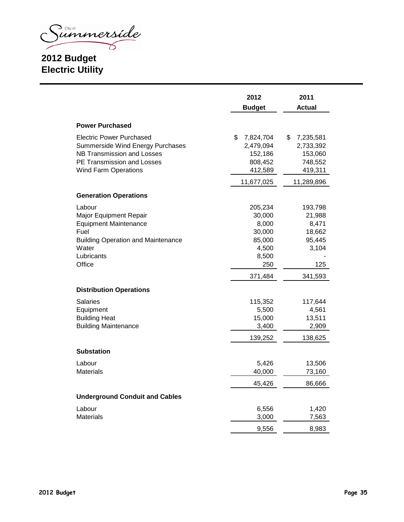Summerside

|                                                                                                                                                                       | 2012<br><b>Budget</b>                                         | 2011<br><b>Actual</b>                                         |
|-----------------------------------------------------------------------------------------------------------------------------------------------------------------------|---------------------------------------------------------------|---------------------------------------------------------------|
| <b>Power Purchased</b>                                                                                                                                                |                                                               |                                                               |
| Electric Power Purchased<br>Summerside Wind Energy Purchases<br><b>NB Transmission and Losses</b><br><b>PE Transmission and Losses</b><br><b>Wind Farm Operations</b> | \$<br>7,824,704<br>2,479,094<br>152,186<br>808,452<br>412,589 | \$<br>7,235,581<br>2,733,392<br>153,060<br>748,552<br>419,311 |
|                                                                                                                                                                       | 11,677,025                                                    | 11,289,896                                                    |
| <b>Generation Operations</b>                                                                                                                                          |                                                               |                                                               |
| Labour<br>Major Equipment Repair<br><b>Equipment Maintenance</b><br>Fuel                                                                                              | 205,234<br>30,000<br>8,000<br>30,000                          | 193,798<br>21,988<br>8,471<br>18,662                          |
| <b>Building Operation and Maintenance</b><br>Water<br>Lubricants<br>Office                                                                                            | 85,000<br>4,500<br>8,500<br>250                               | 95,445<br>3,104<br>125                                        |
|                                                                                                                                                                       | 371,484                                                       | 341,593                                                       |
| <b>Distribution Operations</b>                                                                                                                                        |                                                               |                                                               |
| Salaries<br>Equipment<br><b>Building Heat</b><br><b>Building Maintenance</b>                                                                                          | 115,352<br>5,500<br>15,000<br>3,400<br>139,252                | 117,644<br>4,561<br>13,511<br>2,909<br>138,625                |
| <b>Substation</b>                                                                                                                                                     |                                                               |                                                               |
| Labour<br><b>Materials</b>                                                                                                                                            | 5,426<br>40,000                                               | 13,506<br>73,160                                              |
|                                                                                                                                                                       | 45,426                                                        | 86,666                                                        |
| <b>Underground Conduit and Cables</b>                                                                                                                                 |                                                               |                                                               |
| Labour<br><b>Materials</b>                                                                                                                                            | 6,556<br>3,000                                                | 1,420<br>7,563                                                |
|                                                                                                                                                                       | 9,556                                                         | 8,983                                                         |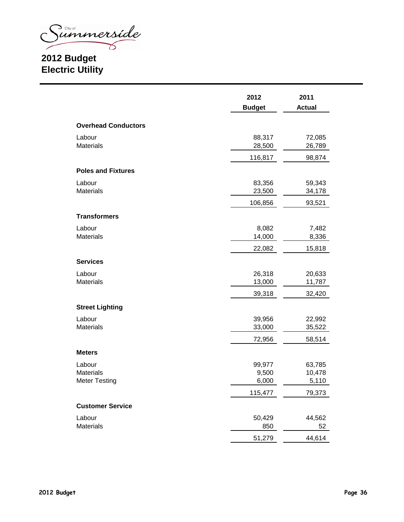Summerside

|                            | 2012<br><b>Budget</b> | 2011<br><b>Actual</b> |
|----------------------------|-----------------------|-----------------------|
| <b>Overhead Conductors</b> |                       |                       |
|                            |                       |                       |
| Labour<br><b>Materials</b> | 88,317                | 72,085<br>26,789      |
|                            | 28,500                |                       |
|                            | 116,817               | 98,874                |
| <b>Poles and Fixtures</b>  |                       |                       |
| Labour                     | 83,356                | 59,343                |
| <b>Materials</b>           | 23,500                | 34,178                |
|                            | 106,856               | 93,521                |
| <b>Transformers</b>        |                       |                       |
| Labour                     | 8,082                 | 7,482                 |
| <b>Materials</b>           | 14,000                | 8,336                 |
|                            | 22,082                | 15,818                |
| <b>Services</b>            |                       |                       |
| Labour                     | 26,318                | 20,633                |
| <b>Materials</b>           | 13,000                | 11,787                |
|                            | 39,318                | 32,420                |
| <b>Street Lighting</b>     |                       |                       |
| Labour                     | 39,956                | 22,992                |
| <b>Materials</b>           | 33,000                | 35,522                |
|                            | 72,956                | 58,514                |
| <b>Meters</b>              |                       |                       |
| Labour                     | 99,977                | 63,785                |
| <b>Materials</b>           | 9,500                 | 10,478                |
| <b>Meter Testing</b>       | 6,000                 | 5,110                 |
|                            | 115,477               | 79,373                |
| <b>Customer Service</b>    |                       |                       |
| Labour                     | 50,429                | 44,562                |
| Materials                  | 850                   | 52                    |
|                            | 51,279                | 44,614                |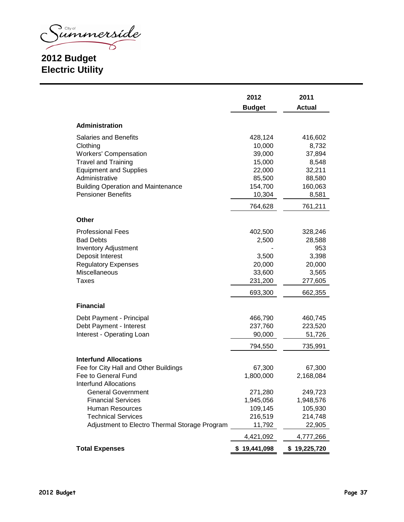Summerside

|                                                                                       | 2012<br><b>Budget</b>   | 2011<br><b>Actual</b> |
|---------------------------------------------------------------------------------------|-------------------------|-----------------------|
| Administration                                                                        |                         |                       |
| <b>Salaries and Benefits</b><br>Clothing                                              | 428,124<br>10,000       | 416,602<br>8,732      |
| <b>Workers' Compensation</b><br><b>Travel and Training</b>                            | 39,000<br>15,000        | 37,894<br>8,548       |
| <b>Equipment and Supplies</b><br>Administrative                                       | 22,000<br>85,500        | 32,211<br>88,580      |
| <b>Building Operation and Maintenance</b><br><b>Pensioner Benefits</b>                | 154,700<br>10,304       | 160,063<br>8,581      |
|                                                                                       | 764,628                 | 761,211               |
| Other                                                                                 |                         |                       |
| <b>Professional Fees</b><br><b>Bad Debts</b>                                          | 402,500<br>2,500        | 328,246<br>28,588     |
| Inventory Adjustment<br>Deposit Interest                                              | 3,500                   | 953<br>3,398          |
| <b>Regulatory Expenses</b><br>Miscellaneous                                           | 20,000<br>33,600        | 20,000<br>3,565       |
| Taxes                                                                                 | 231,200                 | 277,605               |
|                                                                                       | 693,300                 | 662,355               |
| <b>Financial</b>                                                                      |                         |                       |
| Debt Payment - Principal<br>Debt Payment - Interest                                   | 466,790<br>237,760      | 460,745<br>223,520    |
| Interest - Operating Loan                                                             | 90,000                  | 51,726                |
|                                                                                       | 794,550                 | 735,991               |
| <b>Interfund Allocations</b>                                                          |                         |                       |
| Fee for City Hall and Other Buildings<br>Fee to General Fund<br>Interfund Allocations | 67,300<br>1,800,000     | 67,300<br>2,168,084   |
| <b>General Government</b>                                                             | 271,280                 | 249,723               |
| <b>Financial Services</b><br>Human Resources                                          | 1,945,056<br>109,145    | 1,948,576<br>105,930  |
| <b>Technical Services</b>                                                             | 216,519                 | 214,748               |
| Adjustment to Electro Thermal Storage Program                                         | 11,792                  | 22,905                |
|                                                                                       | 4,421,092<br>19,441,098 | 4,777,266             |
| <b>Total Expenses</b>                                                                 |                         | \$19,225,720          |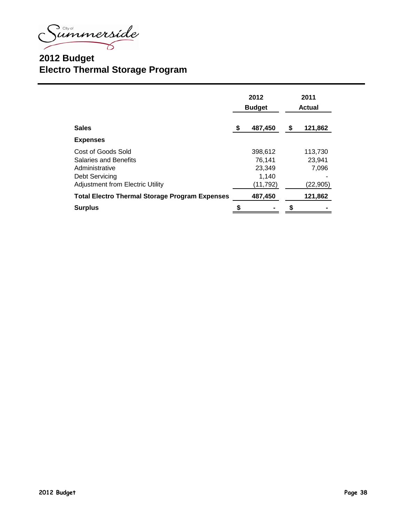Summerside

**2012 Budget Electro Thermal Storage Program**

|                                                       | 2012<br><b>Budget</b> |           | 2011<br><b>Actual</b> |          |
|-------------------------------------------------------|-----------------------|-----------|-----------------------|----------|
| <b>Sales</b>                                          | S                     | 487,450   | \$                    | 121,862  |
| <b>Expenses</b>                                       |                       |           |                       |          |
| Cost of Goods Sold                                    |                       | 398,612   |                       | 113,730  |
| Salaries and Benefits                                 |                       | 76,141    |                       | 23,941   |
| Administrative                                        |                       | 23,349    |                       | 7,096    |
| Debt Servicing                                        |                       | 1,140     |                       |          |
| <b>Adjustment from Electric Utility</b>               |                       | (11, 792) |                       | (22,905) |
| <b>Total Electro Thermal Storage Program Expenses</b> |                       | 487,450   |                       | 121,862  |
| <b>Surplus</b>                                        |                       |           |                       |          |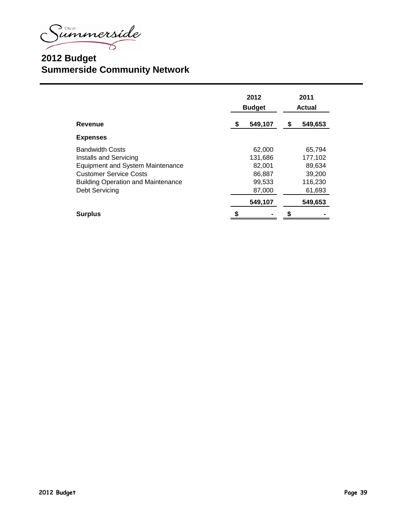Summerside

**2012 Budget Summerside Community Network**

|                                           |   | 2012<br><b>Budget</b> | 2011<br><b>Actual</b> |
|-------------------------------------------|---|-----------------------|-----------------------|
| Revenue                                   | S | 549,107               | \$<br>549,653         |
| <b>Expenses</b>                           |   |                       |                       |
| <b>Bandwidth Costs</b>                    |   | 62,000                | 65,794                |
| Installs and Servicing                    |   | 131,686               | 177,102               |
| <b>Equipment and System Maintenance</b>   |   | 82,001                | 89,634                |
| <b>Customer Service Costs</b>             |   | 86,887                | 39,200                |
| <b>Building Operation and Maintenance</b> |   | 99,533                | 116,230               |
| <b>Debt Servicing</b>                     |   | 87,000                | 61,693                |
|                                           |   | 549,107               | 549,653               |
| <b>Surplus</b>                            |   |                       |                       |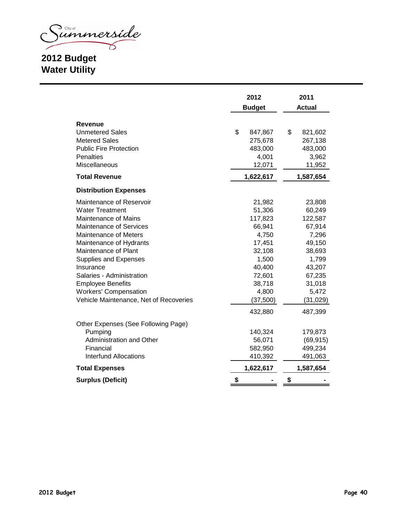Summerside

## **2012 Budget Water Utility**

|                                                                                                                                                                                                                                                                                                                                                                                        | 2012<br><b>Budget</b>                                                                                                                      | 2011<br><b>Actual</b>                                                                                                                      |
|----------------------------------------------------------------------------------------------------------------------------------------------------------------------------------------------------------------------------------------------------------------------------------------------------------------------------------------------------------------------------------------|--------------------------------------------------------------------------------------------------------------------------------------------|--------------------------------------------------------------------------------------------------------------------------------------------|
| <b>Revenue</b><br><b>Unmetered Sales</b><br><b>Metered Sales</b><br><b>Public Fire Protection</b><br><b>Penalties</b><br>Miscellaneous                                                                                                                                                                                                                                                 | \$<br>847,867<br>275,678<br>483,000<br>4,001<br>12,071                                                                                     | \$<br>821,602<br>267,138<br>483,000<br>3,962<br>11,952                                                                                     |
| <b>Total Revenue</b>                                                                                                                                                                                                                                                                                                                                                                   | 1,622,617                                                                                                                                  | 1,587,654                                                                                                                                  |
| <b>Distribution Expenses</b>                                                                                                                                                                                                                                                                                                                                                           |                                                                                                                                            |                                                                                                                                            |
| Maintenance of Reservoir<br><b>Water Treatment</b><br><b>Maintenance of Mains</b><br><b>Maintenance of Services</b><br><b>Maintenance of Meters</b><br>Maintenance of Hydrants<br>Maintenance of Plant<br><b>Supplies and Expenses</b><br>Insurance<br>Salaries - Administration<br><b>Employee Benefits</b><br><b>Workers' Compensation</b><br>Vehicle Maintenance, Net of Recoveries | 21,982<br>51,306<br>117,823<br>66,941<br>4,750<br>17,451<br>32,108<br>1,500<br>40,400<br>72,601<br>38,718<br>4,800<br>(37, 500)<br>432,880 | 23,808<br>60,249<br>122,587<br>67,914<br>7,296<br>49,150<br>38,693<br>1,799<br>43,207<br>67,235<br>31,018<br>5,472<br>(31, 029)<br>487,399 |
| Other Expenses (See Following Page)<br>Pumping<br><b>Administration and Other</b><br>Financial<br><b>Interfund Allocations</b>                                                                                                                                                                                                                                                         | 140,324<br>56,071<br>582,950<br>410,392                                                                                                    | 179,873<br>(69, 915)<br>499,234<br>491,063                                                                                                 |
| <b>Total Expenses</b>                                                                                                                                                                                                                                                                                                                                                                  | 1,622,617                                                                                                                                  | 1,587,654                                                                                                                                  |
| <b>Surplus (Deficit)</b>                                                                                                                                                                                                                                                                                                                                                               | \$                                                                                                                                         | \$                                                                                                                                         |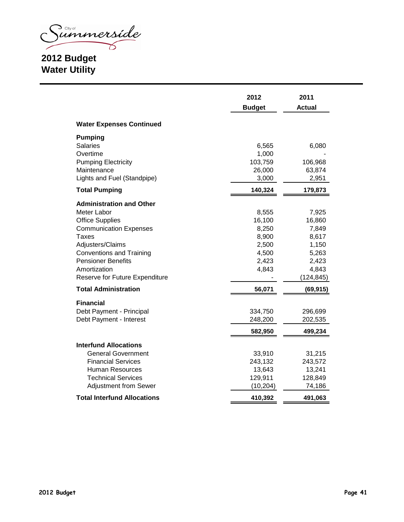Summerside

## **2012 Budget Water Utility**

|                                    | 2012<br><b>Budget</b> | 2011<br><b>Actual</b> |
|------------------------------------|-----------------------|-----------------------|
| <b>Water Expenses Continued</b>    |                       |                       |
| <b>Pumping</b>                     |                       |                       |
| <b>Salaries</b>                    | 6,565                 | 6,080                 |
| Overtime                           | 1,000                 |                       |
| <b>Pumping Electricity</b>         | 103,759               | 106,968               |
| Maintenance                        | 26,000                | 63,874                |
| Lights and Fuel (Standpipe)        | 3,000                 | 2,951                 |
| <b>Total Pumping</b>               | 140,324               | 179,873               |
| <b>Administration and Other</b>    |                       |                       |
| Meter Labor                        | 8,555                 | 7,925                 |
| <b>Office Supplies</b>             | 16,100                | 16,860                |
| <b>Communication Expenses</b>      | 8,250                 | 7,849                 |
| <b>Taxes</b>                       | 8,900                 | 8,617                 |
| Adjusters/Claims                   | 2,500                 | 1,150                 |
| <b>Conventions and Training</b>    | 4,500                 | 5,263                 |
| <b>Pensioner Benefits</b>          | 2,423                 | 2,423                 |
| Amortization                       | 4,843                 | 4,843                 |
| Reserve for Future Expenditure     |                       | (124, 845)            |
| <b>Total Administration</b>        | 56,071                | (69, 915)             |
| <b>Financial</b>                   |                       |                       |
| Debt Payment - Principal           | 334,750               | 296,699               |
| Debt Payment - Interest            | 248,200               | 202,535               |
|                                    | 582,950               | 499,234               |
| <b>Interfund Allocations</b>       |                       |                       |
| <b>General Government</b>          | 33,910                | 31,215                |
| <b>Financial Services</b>          | 243,132               | 243,572               |
| Human Resources                    | 13,643                | 13,241                |
| <b>Technical Services</b>          | 129,911               | 128,849               |
| Adjustment from Sewer              | (10, 204)             | 74,186                |
| <b>Total Interfund Allocations</b> | 410,392               | 491,063               |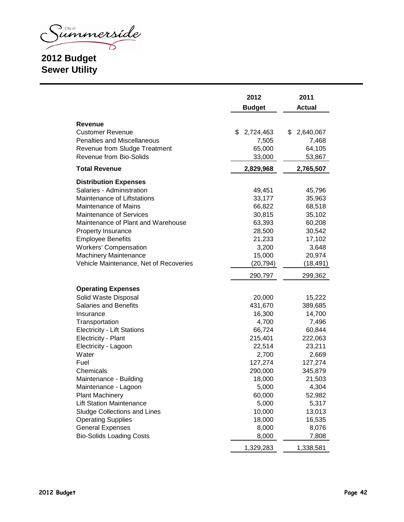Summerside

## **2012 Budget Sewer Utility**

|                                        | 2012            | 2011            |
|----------------------------------------|-----------------|-----------------|
|                                        | <b>Budget</b>   | <b>Actual</b>   |
| Revenue                                |                 |                 |
| <b>Customer Revenue</b>                | \$<br>2,724,463 | \$<br>2,640,067 |
| <b>Penalties and Miscellaneous</b>     | 7,505           | 7,468           |
| Revenue from Sludge Treatment          | 65,000          | 64,105          |
| Revenue from Bio-Solids                | 33,000          | 53,867          |
| <b>Total Revenue</b>                   | 2,829,968       | 2,765,507       |
| <b>Distribution Expenses</b>           |                 |                 |
| Salaries - Administration              | 49,451          | 45,796          |
| Maintenance of Liftstations            | 33,177          | 35,963          |
| <b>Maintenance of Mains</b>            | 66,822          | 68,518          |
| Maintenance of Services                | 30,815          | 35,102          |
| Maintenance of Plant and Warehouse     | 63,393          | 60,208          |
| Property Insurance                     | 28,500          | 30,542          |
| <b>Employee Benefits</b>               | 21,233          | 17,102          |
| <b>Workers' Compensation</b>           | 3,200           | 3,648           |
| <b>Machinery Maintenance</b>           | 15,000          | 20,974          |
| Vehicle Maintenance, Net of Recoveries | (20, 794)       | (18, 491)       |
|                                        | 290,797         | 299,362         |
| <b>Operating Expenses</b>              |                 |                 |
| Solid Waste Disposal                   | 20,000          | 15,222          |
| <b>Salaries and Benefits</b>           | 431,670         | 389,685         |
| Insurance                              | 16,300          | 14,700          |
| Transportation                         | 4,700           | 7,496           |
| <b>Electricity - Lift Stations</b>     | 66,724          | 60,844          |
| <b>Electricity - Plant</b>             | 215,401         | 222,063         |
| Electricity - Lagoon                   | 22,514          | 23,211          |
| Water                                  | 2,700           | 2,669           |
| Fuel                                   | 127,274         | 127,274         |
| Chemicals                              | 290,000         | 345,879         |
| Maintenance - Building                 | 18,000          | 21,503          |
| Maintenance - Lagoon                   | 5,000           | 4,304           |
| <b>Plant Machinery</b>                 | 60,000          | 52,982          |
| <b>Lift Station Maintenance</b>        | 5,000           | 5,317           |
| Sludge Collections and Lines           | 10,000          | 13,013          |
| <b>Operating Supplies</b>              | 18,000          | 16,535          |
| <b>General Expenses</b>                | 8,000           | 8,076           |
| <b>Bio-Solids Loading Costs</b>        | 8,000           | 7,808           |
|                                        | 1,329,283       | 1,338,581       |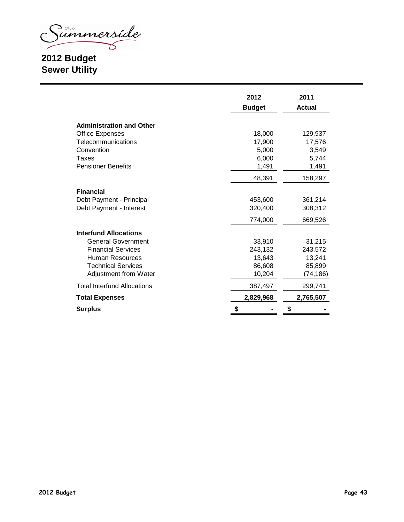Summerside

**2012 Budget Sewer Utility**

|                                    | 2012<br><b>Budget</b> | 2011<br><b>Actual</b> |
|------------------------------------|-----------------------|-----------------------|
|                                    |                       |                       |
| <b>Administration and Other</b>    |                       |                       |
| <b>Office Expenses</b>             | 18,000                | 129,937               |
| Telecommunications                 | 17,900                | 17,576                |
| Convention                         | 5,000                 | 3,549                 |
| Taxes                              | 6,000                 | 5,744                 |
| <b>Pensioner Benefits</b>          | 1,491                 | 1,491                 |
|                                    | 48,391                | 158,297               |
| <b>Financial</b>                   |                       |                       |
| Debt Payment - Principal           | 453,600               | 361,214               |
| Debt Payment - Interest            | 320,400               | 308,312               |
|                                    | 774,000               | 669,526               |
| <b>Interfund Allocations</b>       |                       |                       |
| <b>General Government</b>          | 33,910                | 31,215                |
| <b>Financial Services</b>          | 243,132               | 243,572               |
| Human Resources                    | 13,643                | 13,241                |
| <b>Technical Services</b>          | 86,608                | 85,899                |
| Adjustment from Water              | 10,204                | (74,186)              |
| <b>Total Interfund Allocations</b> | 387,497               | 299,741               |
| <b>Total Expenses</b>              | 2,829,968             | 2,765,507             |
| <b>Surplus</b>                     |                       |                       |